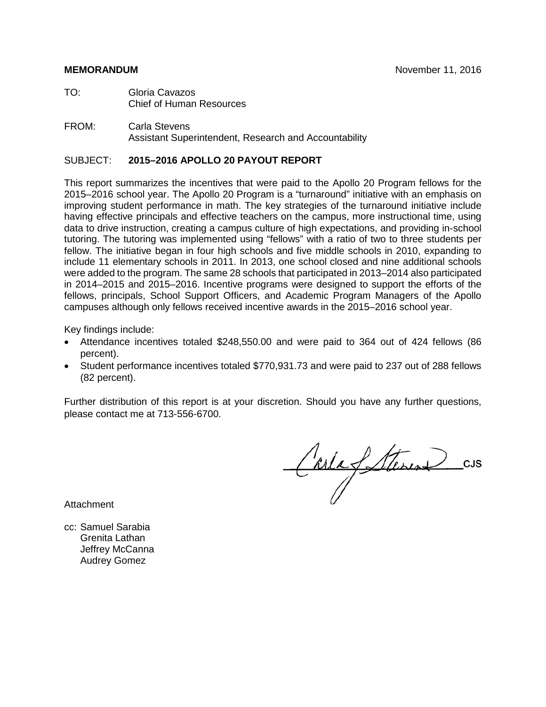- TO: Gloria Cavazos Chief of Human Resources
- FROM: Carla Stevens Assistant Superintendent, Research and Accountability

#### SUBJECT: **2015–2016 APOLLO 20 PAYOUT REPORT**

This report summarizes the incentives that were paid to the Apollo 20 Program fellows for the 2015–2016 school year. The Apollo 20 Program is a "turnaround" initiative with an emphasis on improving student performance in math. The key strategies of the turnaround initiative include having effective principals and effective teachers on the campus, more instructional time, using data to drive instruction, creating a campus culture of high expectations, and providing in-school tutoring. The tutoring was implemented using "fellows" with a ratio of two to three students per fellow. The initiative began in four high schools and five middle schools in 2010, expanding to include 11 elementary schools in 2011. In 2013, one school closed and nine additional schools were added to the program. The same 28 schools that participated in 2013–2014 also participated in 2014–2015 and 2015–2016. Incentive programs were designed to support the efforts of the fellows, principals, School Support Officers, and Academic Program Managers of the Apollo campuses although only fellows received incentive awards in the 2015–2016 school year.

Key findings include:

- Attendance incentives totaled \$248,550.00 and were paid to 364 out of 424 fellows (86 percent).
- Student performance incentives totaled \$770,931.73 and were paid to 237 out of 288 fellows (82 percent).

Further distribution of this report is at your discretion. Should you have any further questions, please contact me at 713-556-6700.

Carla fattures CJS

Attachment

cc: Samuel Sarabia Grenita Lathan Jeffrey McCanna Audrey Gomez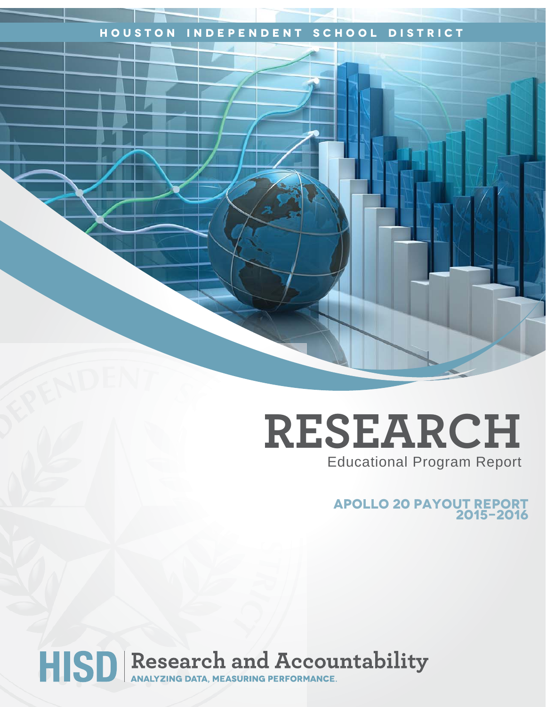### **Houston Independent School District**

# **RESEARCH** Educational Program Report

### **Apollo 20 payout report 2015-2016**

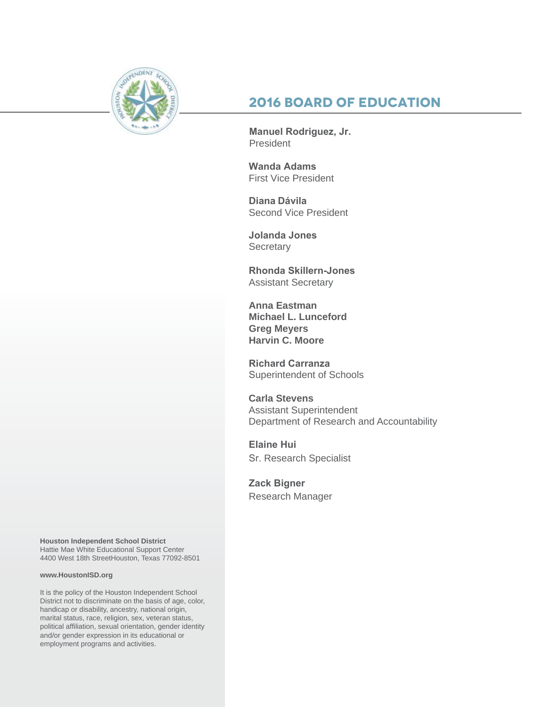

## **2016 Board of Education**

**Manuel Rodriguez, Jr.**  President

**Wanda Adams**  First Vice President

**Diana Dávila** Second Vice President

**Jolanda Jones Secretary** 

**Rhonda Skillern-Jones**  Assistant Secretary

**Anna Eastman Michael L. Lunceford Greg Meyers Harvin C. Moore**

**Richard Carranza** Superintendent of Schools

**Carla Stevens** Assistant Superintendent Department of Research and Accountability

**Elaine Hui** Sr. Research Specialist

**Zack Bigner** Research Manager

**Houston Independent School District** Hattie Mae White Educational Support Center 4400 West 18th StreetHouston, Texas 77092-8501

#### **www.HoustonISD.org**

It is the policy of the Houston Independent School District not to discriminate on the basis of age, color, handicap or disability, ancestry, national origin, marital status, race, religion, sex, veteran status, political affiliation, sexual orientation, gender identity and/or gender expression in its educational or employment programs and activities.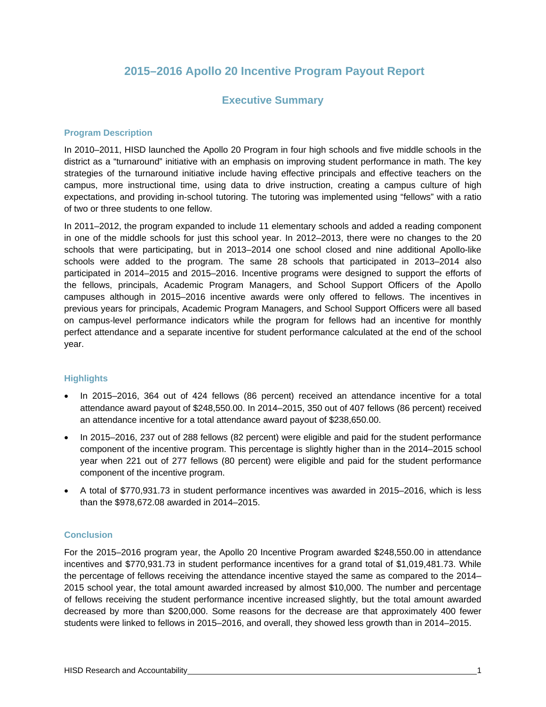### **2015–2016 Apollo 20 Incentive Program Payout Report**

#### **Executive Summary**

#### **Program Description**

In 2010–2011, HISD launched the Apollo 20 Program in four high schools and five middle schools in the district as a "turnaround" initiative with an emphasis on improving student performance in math. The key strategies of the turnaround initiative include having effective principals and effective teachers on the campus, more instructional time, using data to drive instruction, creating a campus culture of high expectations, and providing in-school tutoring. The tutoring was implemented using "fellows" with a ratio of two or three students to one fellow.

In 2011–2012, the program expanded to include 11 elementary schools and added a reading component in one of the middle schools for just this school year. In 2012–2013, there were no changes to the 20 schools that were participating, but in 2013–2014 one school closed and nine additional Apollo-like schools were added to the program. The same 28 schools that participated in 2013–2014 also participated in 2014–2015 and 2015–2016. Incentive programs were designed to support the efforts of the fellows, principals, Academic Program Managers, and School Support Officers of the Apollo campuses although in 2015–2016 incentive awards were only offered to fellows. The incentives in previous years for principals, Academic Program Managers, and School Support Officers were all based on campus-level performance indicators while the program for fellows had an incentive for monthly perfect attendance and a separate incentive for student performance calculated at the end of the school year.

#### **Highlights**

- In 2015–2016, 364 out of 424 fellows (86 percent) received an attendance incentive for a total attendance award payout of \$248,550.00. In 2014–2015, 350 out of 407 fellows (86 percent) received an attendance incentive for a total attendance award payout of \$238,650.00.
- In 2015–2016, 237 out of 288 fellows (82 percent) were eligible and paid for the student performance component of the incentive program. This percentage is slightly higher than in the 2014–2015 school year when 221 out of 277 fellows (80 percent) were eligible and paid for the student performance component of the incentive program.
- A total of \$770,931.73 in student performance incentives was awarded in 2015–2016, which is less than the \$978,672.08 awarded in 2014–2015.

#### **Conclusion**

For the 2015–2016 program year, the Apollo 20 Incentive Program awarded \$248,550.00 in attendance incentives and \$770,931.73 in student performance incentives for a grand total of \$1,019,481.73. While the percentage of fellows receiving the attendance incentive stayed the same as compared to the 2014– 2015 school year, the total amount awarded increased by almost \$10,000. The number and percentage of fellows receiving the student performance incentive increased slightly, but the total amount awarded decreased by more than \$200,000. Some reasons for the decrease are that approximately 400 fewer students were linked to fellows in 2015–2016, and overall, they showed less growth than in 2014–2015.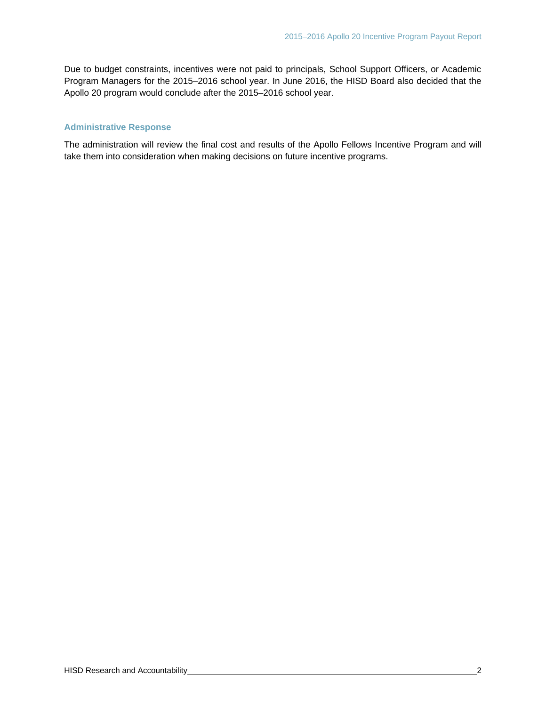Due to budget constraints, incentives were not paid to principals, School Support Officers, or Academic Program Managers for the 2015–2016 school year. In June 2016, the HISD Board also decided that the Apollo 20 program would conclude after the 2015–2016 school year.

#### **Administrative Response**

The administration will review the final cost and results of the Apollo Fellows Incentive Program and will take them into consideration when making decisions on future incentive programs.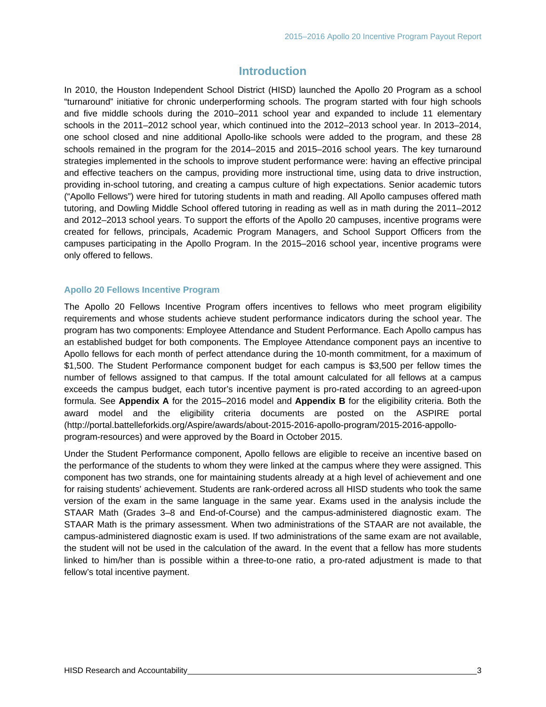### **Introduction**

In 2010, the Houston Independent School District (HISD) launched the Apollo 20 Program as a school "turnaround" initiative for chronic underperforming schools. The program started with four high schools and five middle schools during the 2010–2011 school year and expanded to include 11 elementary schools in the 2011–2012 school year, which continued into the 2012–2013 school year. In 2013–2014, one school closed and nine additional Apollo-like schools were added to the program, and these 28 schools remained in the program for the 2014–2015 and 2015–2016 school years. The key turnaround strategies implemented in the schools to improve student performance were: having an effective principal and effective teachers on the campus, providing more instructional time, using data to drive instruction, providing in-school tutoring, and creating a campus culture of high expectations. Senior academic tutors ("Apollo Fellows") were hired for tutoring students in math and reading. All Apollo campuses offered math tutoring, and Dowling Middle School offered tutoring in reading as well as in math during the 2011–2012 and 2012–2013 school years. To support the efforts of the Apollo 20 campuses, incentive programs were created for fellows, principals, Academic Program Managers, and School Support Officers from the campuses participating in the Apollo Program. In the 2015–2016 school year, incentive programs were only offered to fellows.

#### **Apollo 20 Fellows Incentive Program**

The Apollo 20 Fellows Incentive Program offers incentives to fellows who meet program eligibility requirements and whose students achieve student performance indicators during the school year. The program has two components: Employee Attendance and Student Performance. Each Apollo campus has an established budget for both components. The Employee Attendance component pays an incentive to Apollo fellows for each month of perfect attendance during the 10-month commitment, for a maximum of \$1,500. The Student Performance component budget for each campus is \$3,500 per fellow times the number of fellows assigned to that campus. If the total amount calculated for all fellows at a campus exceeds the campus budget, each tutor's incentive payment is pro-rated according to an agreed-upon formula. See **Appendix A** for the 2015–2016 model and **Appendix B** for the eligibility criteria. Both the award model and the eligibility criteria documents are posted on the ASPIRE portal (http://portal.battelleforkids.org/Aspire/awards/about-2015-2016-apollo-program/2015-2016-appolloprogram-resources) and were approved by the Board in October 2015.

Under the Student Performance component, Apollo fellows are eligible to receive an incentive based on the performance of the students to whom they were linked at the campus where they were assigned. This component has two strands, one for maintaining students already at a high level of achievement and one for raising students' achievement. Students are rank-ordered across all HISD students who took the same version of the exam in the same language in the same year. Exams used in the analysis include the STAAR Math (Grades 3–8 and End-of-Course) and the campus-administered diagnostic exam. The STAAR Math is the primary assessment. When two administrations of the STAAR are not available, the campus-administered diagnostic exam is used. If two administrations of the same exam are not available, the student will not be used in the calculation of the award. In the event that a fellow has more students linked to him/her than is possible within a three-to-one ratio, a pro-rated adjustment is made to that fellow's total incentive payment.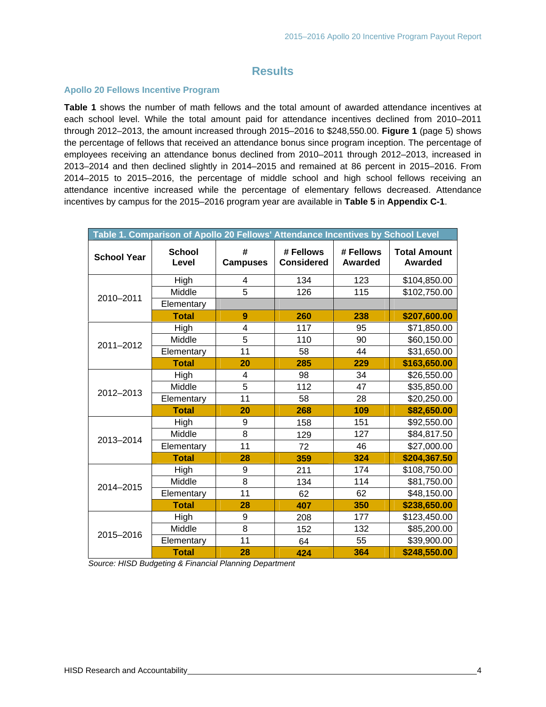### **Results**

#### **Apollo 20 Fellows Incentive Program**

**Table 1** shows the number of math fellows and the total amount of awarded attendance incentives at each school level. While the total amount paid for attendance incentives declined from 2010–2011 through 2012–2013, the amount increased through 2015–2016 to \$248,550.00. **Figure 1** (page 5) shows the percentage of fellows that received an attendance bonus since program inception. The percentage of employees receiving an attendance bonus declined from 2010–2011 through 2012–2013, increased in 2013–2014 and then declined slightly in 2014–2015 and remained at 86 percent in 2015–2016. From 2014–2015 to 2015–2016, the percentage of middle school and high school fellows receiving an attendance incentive increased while the percentage of elementary fellows decreased. Attendance incentives by campus for the 2015–2016 program year are available in **Table 5** in **Appendix C-1**.

| Table 1. Comparison of Apollo 20 Fellows' Attendance Incentives by School Level |                        |                      |                                |                             |                                |  |  |  |  |  |
|---------------------------------------------------------------------------------|------------------------|----------------------|--------------------------------|-----------------------------|--------------------------------|--|--|--|--|--|
| <b>School Year</b>                                                              | <b>School</b><br>Level | #<br><b>Campuses</b> | # Fellows<br><b>Considered</b> | # Fellows<br><b>Awarded</b> | <b>Total Amount</b><br>Awarded |  |  |  |  |  |
|                                                                                 | High                   | 4                    | 134                            | 123                         | \$104,850.00                   |  |  |  |  |  |
| 2010-2011                                                                       | Middle                 | 5                    | 126                            | 115                         | \$102,750.00                   |  |  |  |  |  |
|                                                                                 | Elementary             |                      |                                |                             |                                |  |  |  |  |  |
|                                                                                 | <b>Total</b>           | 9                    | 260                            | 238                         | \$207,600.00                   |  |  |  |  |  |
| 2011-2012                                                                       | High                   | 4                    | 117                            | 95                          | \$71,850.00                    |  |  |  |  |  |
|                                                                                 | Middle                 | 5                    | 110                            | 90                          | \$60,150.00                    |  |  |  |  |  |
|                                                                                 | Elementary             | 11                   | 58                             | 44                          | \$31,650.00                    |  |  |  |  |  |
|                                                                                 | <b>Total</b>           | 20                   | 285                            | 229                         | \$163,650.00                   |  |  |  |  |  |
|                                                                                 | High                   | 4                    | 98                             | 34                          | \$26,550.00                    |  |  |  |  |  |
| 2012-2013                                                                       | Middle                 | 5                    | 112                            | 47                          | \$35,850.00                    |  |  |  |  |  |
|                                                                                 | Elementary             | 11                   | 58                             | 28                          | \$20,250.00                    |  |  |  |  |  |
|                                                                                 | <b>Total</b>           | 20                   | 268                            | 109                         | \$82,650.00                    |  |  |  |  |  |
|                                                                                 | High                   | 9                    | 158                            | 151                         | \$92,550.00                    |  |  |  |  |  |
| 2013-2014                                                                       | Middle                 | 8                    | 129                            | 127                         | \$84,817.50                    |  |  |  |  |  |
|                                                                                 | Elementary             | 11                   | 72                             | 46                          | \$27,000.00                    |  |  |  |  |  |
|                                                                                 | <b>Total</b>           | 28                   | 359                            | 324                         | \$204,367.50                   |  |  |  |  |  |
|                                                                                 | High                   | 9                    | 211                            | 174                         | \$108,750.00                   |  |  |  |  |  |
| 2014-2015                                                                       | Middle                 | 8                    | 134                            | 114                         | \$81,750.00                    |  |  |  |  |  |
|                                                                                 | Elementary             | 11                   | 62                             | 62                          | \$48,150.00                    |  |  |  |  |  |
|                                                                                 | <b>Total</b>           | 28                   | 407                            | 350                         | \$238,650.00                   |  |  |  |  |  |
|                                                                                 | High                   | 9                    | 208                            | 177                         | \$123,450.00                   |  |  |  |  |  |
| 2015-2016                                                                       | Middle                 | 8                    | 152                            | 132                         | \$85,200.00                    |  |  |  |  |  |
|                                                                                 | Elementary             | 11                   | 64                             | 55                          | \$39,900.00                    |  |  |  |  |  |
|                                                                                 | <b>Total</b>           | 28                   | 424                            | 364                         | \$248,550.00                   |  |  |  |  |  |

*Source: HISD Budgeting & Financial Planning Department*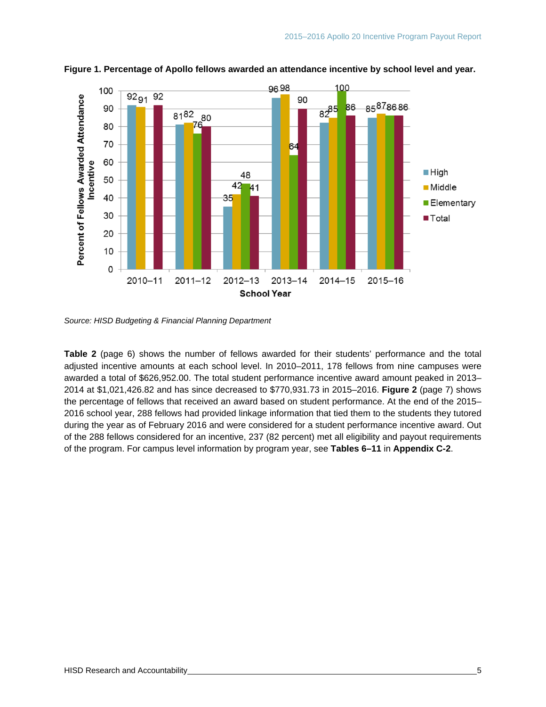

**Figure 1. Percentage of Apollo fellows awarded an attendance incentive by school level and year.** 

*Source: HISD Budgeting & Financial Planning Department* 

**Table 2** (page 6) shows the number of fellows awarded for their students' performance and the total adjusted incentive amounts at each school level. In 2010–2011, 178 fellows from nine campuses were awarded a total of \$626,952.00. The total student performance incentive award amount peaked in 2013– 2014 at \$1,021,426.82 and has since decreased to \$770,931.73 in 2015–2016. **Figure 2** (page 7) shows the percentage of fellows that received an award based on student performance. At the end of the 2015– 2016 school year, 288 fellows had provided linkage information that tied them to the students they tutored during the year as of February 2016 and were considered for a student performance incentive award. Out of the 288 fellows considered for an incentive, 237 (82 percent) met all eligibility and payout requirements of the program. For campus level information by program year, see **Tables 6–11** in **Appendix C-2**.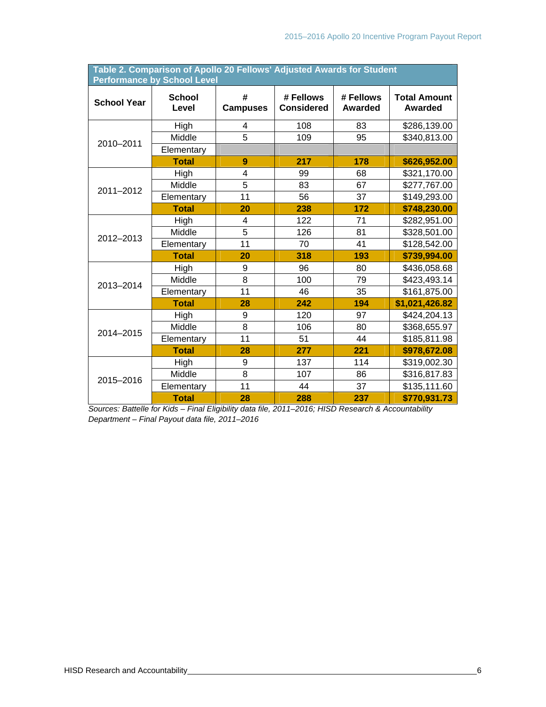| Table 2. Comparison of Apollo 20 Fellows' Adjusted Awards for Student<br><b>Performance by School Level</b> |                        |                      |                                |                             |                                |  |  |  |  |
|-------------------------------------------------------------------------------------------------------------|------------------------|----------------------|--------------------------------|-----------------------------|--------------------------------|--|--|--|--|
| <b>School Year</b>                                                                                          | <b>School</b><br>Level | #<br><b>Campuses</b> | # Fellows<br><b>Considered</b> | # Fellows<br><b>Awarded</b> | <b>Total Amount</b><br>Awarded |  |  |  |  |
|                                                                                                             | High                   | 4                    | 108                            | 83                          | \$286,139.00                   |  |  |  |  |
| 2010-2011                                                                                                   | Middle                 | 5                    | 109                            | 95                          | \$340,813.00                   |  |  |  |  |
|                                                                                                             | Elementary             |                      |                                |                             |                                |  |  |  |  |
|                                                                                                             | <b>Total</b>           | 9                    | 217                            | 178                         | \$626,952.00                   |  |  |  |  |
|                                                                                                             | High                   | 4                    | 99                             | 68                          | \$321,170.00                   |  |  |  |  |
| 2011-2012                                                                                                   | Middle                 | 5                    | 83                             | 67                          | \$277,767.00                   |  |  |  |  |
|                                                                                                             | Elementary             | 11                   | 56                             | 37                          | \$149,293.00                   |  |  |  |  |
|                                                                                                             | <b>Total</b>           | 20                   | 238                            | 172                         | \$748,230.00                   |  |  |  |  |
|                                                                                                             | High                   | 4                    | 122                            | 71                          | \$282,951.00                   |  |  |  |  |
| 2012-2013                                                                                                   | Middle                 | 5                    | 126                            | 81                          | \$328,501.00                   |  |  |  |  |
|                                                                                                             | Elementary             | 11                   | 70                             | 41                          | \$128,542.00                   |  |  |  |  |
|                                                                                                             | <b>Total</b>           | 20                   | 318                            | 193                         | \$739,994.00                   |  |  |  |  |
|                                                                                                             | High                   | 9                    | 96                             | 80                          | \$436,058.68                   |  |  |  |  |
| 2013-2014                                                                                                   | Middle                 | 8                    | 100                            | 79                          | \$423,493.14                   |  |  |  |  |
|                                                                                                             | Elementary             | 11                   | 46                             | 35                          | \$161,875.00                   |  |  |  |  |
|                                                                                                             | <b>Total</b>           | 28                   | 242                            | 194                         | \$1,021,426.82                 |  |  |  |  |
|                                                                                                             | High                   | 9                    | 120                            | 97                          | \$424,204.13                   |  |  |  |  |
| 2014-2015                                                                                                   | Middle                 | 8                    | 106                            | 80                          | \$368,655.97                   |  |  |  |  |
|                                                                                                             | Elementary             | 11                   | 51                             | 44                          | \$185,811.98                   |  |  |  |  |
|                                                                                                             | <b>Total</b>           | 28                   | 277                            | 221                         | \$978,672.08                   |  |  |  |  |
|                                                                                                             | High                   | 9                    | 137                            | 114                         | \$319,002.30                   |  |  |  |  |
| 2015-2016                                                                                                   | Middle                 | 8                    | 107                            | 86                          | \$316,817.83                   |  |  |  |  |
|                                                                                                             | Elementary             | 11                   | 44                             | 37                          | \$135,111.60                   |  |  |  |  |
|                                                                                                             | <b>Total</b>           | 28                   | 288                            | 237                         | \$770,931.73                   |  |  |  |  |

*Sources: Battelle for Kids – Final Eligibility data file, 2011–2016; HISD Research & Accountability Department – Final Payout data file, 2011–2016*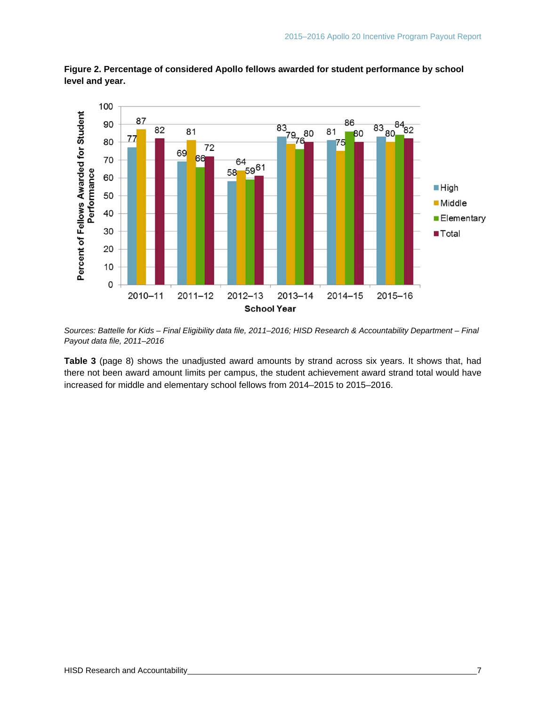

**Figure 2. Percentage of considered Apollo fellows awarded for student performance by school level and year.** 

*Sources: Battelle for Kids – Final Eligibility data file, 2011–2016; HISD Research & Accountability Department – Final Payout data file, 2011–2016* 

**Table 3** (page 8) shows the unadjusted award amounts by strand across six years. It shows that, had there not been award amount limits per campus, the student achievement award strand total would have increased for middle and elementary school fellows from 2014–2015 to 2015–2016.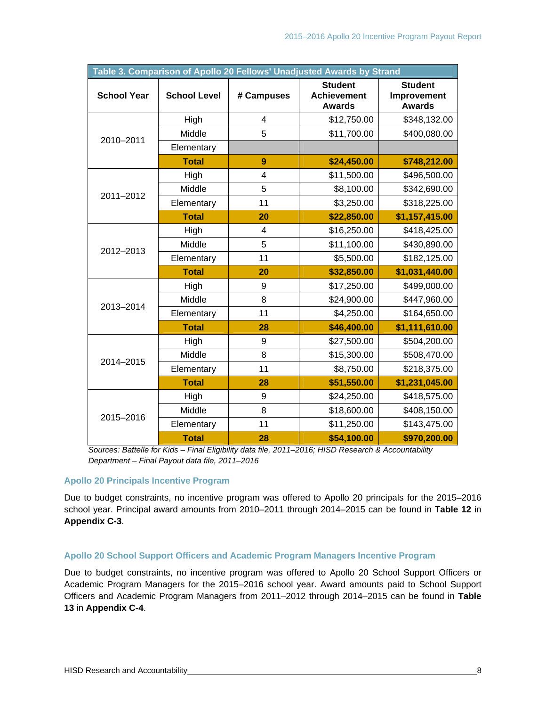|                    | Table 3. Comparison of Apollo 20 Fellows' Unadjusted Awards by Strand |            |                                                       |                                                |  |  |  |  |  |  |  |
|--------------------|-----------------------------------------------------------------------|------------|-------------------------------------------------------|------------------------------------------------|--|--|--|--|--|--|--|
| <b>School Year</b> | <b>School Level</b>                                                   | # Campuses | <b>Student</b><br><b>Achievement</b><br><b>Awards</b> | <b>Student</b><br>Improvement<br><b>Awards</b> |  |  |  |  |  |  |  |
|                    | High                                                                  | 4          | \$12,750.00                                           | \$348,132.00                                   |  |  |  |  |  |  |  |
| 2010-2011          | Middle                                                                | 5          | \$11,700.00                                           | \$400,080.00                                   |  |  |  |  |  |  |  |
|                    | Elementary                                                            |            |                                                       |                                                |  |  |  |  |  |  |  |
|                    | <b>Total</b>                                                          | 9          | \$24,450.00                                           | \$748,212.00                                   |  |  |  |  |  |  |  |
|                    | High                                                                  | 4          | \$11,500.00                                           | \$496,500.00                                   |  |  |  |  |  |  |  |
| 2011-2012          | Middle                                                                | 5          | \$8,100.00                                            | \$342,690.00                                   |  |  |  |  |  |  |  |
|                    | Elementary                                                            | 11         | \$3,250.00                                            | \$318,225.00                                   |  |  |  |  |  |  |  |
|                    | <b>Total</b>                                                          | 20         | \$22,850.00                                           | \$1,157,415.00                                 |  |  |  |  |  |  |  |
|                    | High                                                                  | 4          | \$16,250.00                                           | \$418,425.00                                   |  |  |  |  |  |  |  |
| 2012-2013          | Middle                                                                | 5          | \$11,100.00                                           | \$430,890.00                                   |  |  |  |  |  |  |  |
|                    | Elementary                                                            | 11         | \$5,500.00                                            | \$182,125.00                                   |  |  |  |  |  |  |  |
|                    | <b>Total</b>                                                          | 20         | \$32,850.00                                           | \$1,031,440.00                                 |  |  |  |  |  |  |  |
|                    | High                                                                  | 9          | \$17,250.00                                           | \$499,000.00                                   |  |  |  |  |  |  |  |
| 2013-2014          | Middle                                                                | 8          | \$24,900.00                                           | \$447,960.00                                   |  |  |  |  |  |  |  |
|                    | Elementary                                                            | 11         | \$4,250.00                                            | \$164,650.00                                   |  |  |  |  |  |  |  |
|                    | <b>Total</b>                                                          | 28         | \$46,400.00                                           | \$1,111,610.00                                 |  |  |  |  |  |  |  |
|                    | High                                                                  | 9          | \$27,500.00                                           | \$504,200.00                                   |  |  |  |  |  |  |  |
| 2014-2015          | Middle                                                                | 8          | \$15,300.00                                           | \$508,470.00                                   |  |  |  |  |  |  |  |
|                    | Elementary                                                            | 11         | \$8,750.00                                            | \$218,375.00                                   |  |  |  |  |  |  |  |
|                    | <b>Total</b>                                                          | 28         | \$51,550.00                                           | \$1,231,045.00                                 |  |  |  |  |  |  |  |
|                    | High                                                                  | 9          | \$24,250.00                                           | \$418,575.00                                   |  |  |  |  |  |  |  |
| 2015-2016          | Middle                                                                | 8          | \$18,600.00                                           | \$408,150.00                                   |  |  |  |  |  |  |  |
|                    | Elementary                                                            | 11         | \$11,250.00                                           | \$143,475.00                                   |  |  |  |  |  |  |  |
|                    | <b>Total</b>                                                          | 28         | \$54,100.00                                           | \$970,200.00                                   |  |  |  |  |  |  |  |

*Sources: Battelle for Kids – Final Eligibility data file, 2011–2016; HISD Research & Accountability Department – Final Payout data file, 2011–2016* 

#### **Apollo 20 Principals Incentive Program**

Due to budget constraints, no incentive program was offered to Apollo 20 principals for the 2015–2016 school year. Principal award amounts from 2010–2011 through 2014–2015 can be found in **Table 12** in **Appendix C-3**.

#### **Apollo 20 School Support Officers and Academic Program Managers Incentive Program**

Due to budget constraints, no incentive program was offered to Apollo 20 School Support Officers or Academic Program Managers for the 2015–2016 school year. Award amounts paid to School Support Officers and Academic Program Managers from 2011–2012 through 2014–2015 can be found in **Table 13** in **Appendix C-4**.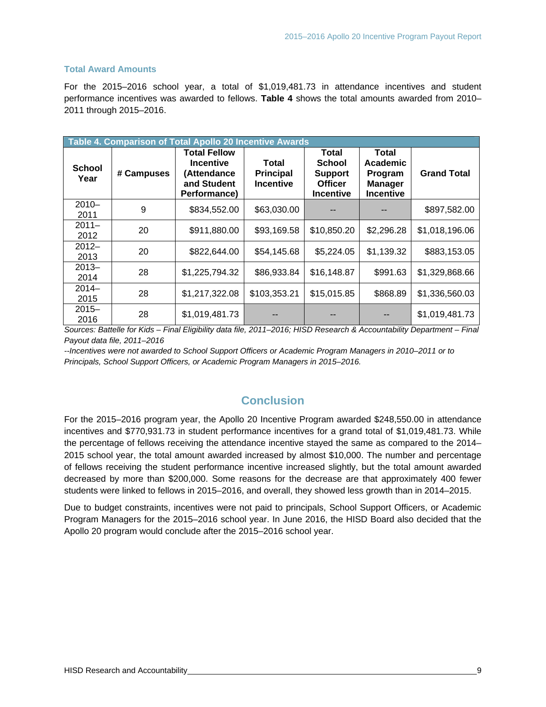#### **Total Award Amounts**

For the 2015–2016 school year, a total of \$1,019,481.73 in attendance incentives and student performance incentives was awarded to fellows. **Table 4** shows the total amounts awarded from 2010– 2011 through 2015–2016.

|                       | Table 4. Comparison of Total Apollo 20 Incentive Awards |                                                                                       |                                        |                                                                                |                                                                    |                    |  |  |  |  |  |
|-----------------------|---------------------------------------------------------|---------------------------------------------------------------------------------------|----------------------------------------|--------------------------------------------------------------------------------|--------------------------------------------------------------------|--------------------|--|--|--|--|--|
| <b>School</b><br>Year | # Campuses                                              | <b>Total Fellow</b><br><b>Incentive</b><br>(Attendance<br>and Student<br>Performance) | Total<br><b>Principal</b><br>Incentive | Total<br><b>School</b><br><b>Support</b><br><b>Officer</b><br><b>Incentive</b> | Total<br>Academic<br>Program<br><b>Manager</b><br><b>Incentive</b> | <b>Grand Total</b> |  |  |  |  |  |
| $2010 -$<br>2011      | 9                                                       | \$834,552.00                                                                          | \$63,030.00                            |                                                                                |                                                                    | \$897,582.00       |  |  |  |  |  |
| $2011 -$<br>2012      | 20                                                      | \$911,880.00                                                                          | \$93,169.58                            | \$10,850.20                                                                    | \$2,296.28                                                         | \$1,018,196.06     |  |  |  |  |  |
| $2012 -$<br>2013      | 20                                                      | \$822,644.00                                                                          | \$54,145.68                            | \$5,224.05                                                                     | \$1,139.32                                                         | \$883,153.05       |  |  |  |  |  |
| $2013 -$<br>2014      | 28                                                      | \$1,225,794.32                                                                        | \$86,933.84                            | \$16,148.87                                                                    | \$991.63                                                           | \$1,329,868.66     |  |  |  |  |  |
| $2014 -$<br>2015      | 28                                                      | \$1,217,322.08                                                                        | \$103,353.21                           | \$15,015.85                                                                    | \$868.89                                                           | \$1,336,560.03     |  |  |  |  |  |
| $2015 -$<br>2016      | 28                                                      | \$1,019,481.73                                                                        |                                        |                                                                                |                                                                    | \$1,019,481.73     |  |  |  |  |  |

*Sources: Battelle for Kids – Final Eligibility data file, 2011–2016; HISD Research & Accountability Department – Final Payout data file, 2011–2016* 

*--Incentives were not awarded to School Support Officers or Academic Program Managers in 2010–2011 or to Principals, School Support Officers, or Academic Program Managers in 2015–2016.* 

### **Conclusion**

For the 2015–2016 program year, the Apollo 20 Incentive Program awarded \$248,550.00 in attendance incentives and \$770,931.73 in student performance incentives for a grand total of \$1,019,481.73. While the percentage of fellows receiving the attendance incentive stayed the same as compared to the 2014– 2015 school year, the total amount awarded increased by almost \$10,000. The number and percentage of fellows receiving the student performance incentive increased slightly, but the total amount awarded decreased by more than \$200,000. Some reasons for the decrease are that approximately 400 fewer students were linked to fellows in 2015–2016, and overall, they showed less growth than in 2014–2015.

Due to budget constraints, incentives were not paid to principals, School Support Officers, or Academic Program Managers for the 2015–2016 school year. In June 2016, the HISD Board also decided that the Apollo 20 program would conclude after the 2015–2016 school year.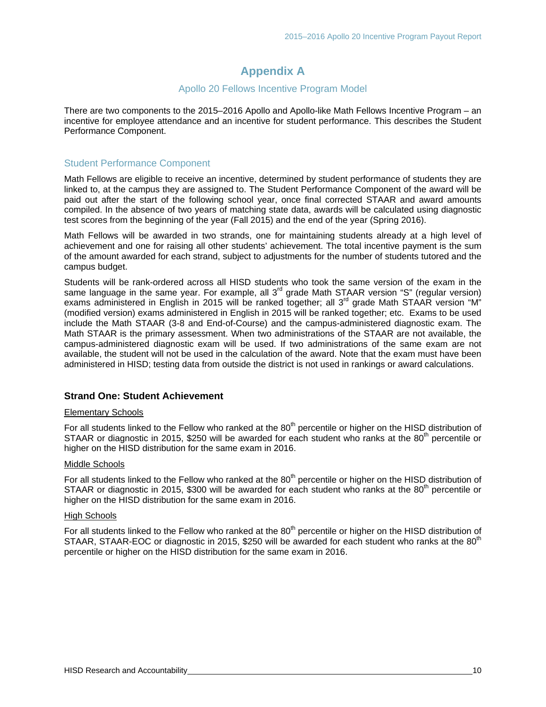### **Appendix A**

#### Apollo 20 Fellows Incentive Program Model

There are two components to the 2015–2016 Apollo and Apollo-like Math Fellows Incentive Program – an incentive for employee attendance and an incentive for student performance. This describes the Student Performance Component.

#### Student Performance Component

Math Fellows are eligible to receive an incentive, determined by student performance of students they are linked to, at the campus they are assigned to. The Student Performance Component of the award will be paid out after the start of the following school year, once final corrected STAAR and award amounts compiled. In the absence of two years of matching state data, awards will be calculated using diagnostic test scores from the beginning of the year (Fall 2015) and the end of the year (Spring 2016).

Math Fellows will be awarded in two strands, one for maintaining students already at a high level of achievement and one for raising all other students' achievement. The total incentive payment is the sum of the amount awarded for each strand, subject to adjustments for the number of students tutored and the campus budget.

Students will be rank-ordered across all HISD students who took the same version of the exam in the same language in the same year. For example, all 3<sup>rd</sup> grade Math STAAR version "S" (regular version) exams administered in English in 2015 will be ranked together; all 3<sup>rd</sup> grade Math STAAR version "M" (modified version) exams administered in English in 2015 will be ranked together; etc. Exams to be used include the Math STAAR (3-8 and End-of-Course) and the campus-administered diagnostic exam. The Math STAAR is the primary assessment. When two administrations of the STAAR are not available, the campus-administered diagnostic exam will be used. If two administrations of the same exam are not available, the student will not be used in the calculation of the award. Note that the exam must have been administered in HISD; testing data from outside the district is not used in rankings or award calculations.

#### **Strand One: Student Achievement**

#### Elementary Schools

For all students linked to the Fellow who ranked at the 80<sup>th</sup> percentile or higher on the HISD distribution of STAAR or diagnostic in 2015, \$250 will be awarded for each student who ranks at the  $80<sup>th</sup>$  percentile or higher on the HISD distribution for the same exam in 2016.

#### Middle Schools

For all students linked to the Fellow who ranked at the 80<sup>th</sup> percentile or higher on the HISD distribution of STAAR or diagnostic in 2015, \$300 will be awarded for each student who ranks at the  $80<sup>th</sup>$  percentile or higher on the HISD distribution for the same exam in 2016.

#### High Schools

For all students linked to the Fellow who ranked at the 80<sup>th</sup> percentile or higher on the HISD distribution of STAAR, STAAR-EOC or diagnostic in 2015, \$250 will be awarded for each student who ranks at the 80<sup>th</sup> percentile or higher on the HISD distribution for the same exam in 2016.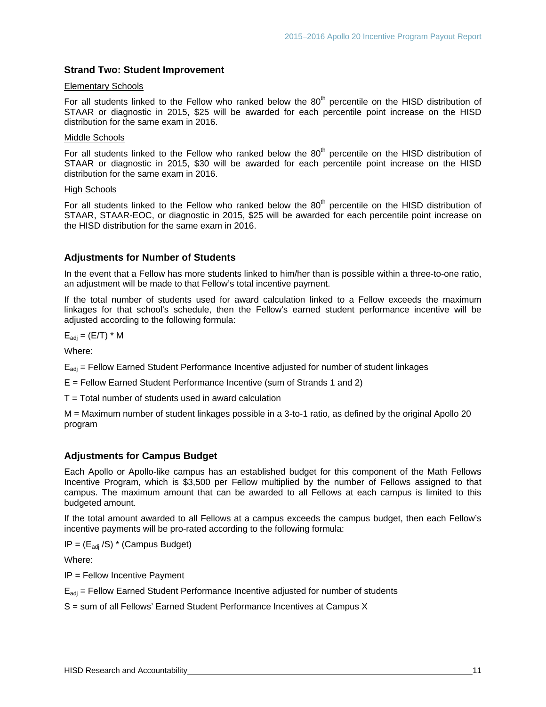#### **Strand Two: Student Improvement**

#### Elementary Schools

For all students linked to the Fellow who ranked below the  $80<sup>th</sup>$  percentile on the HISD distribution of STAAR or diagnostic in 2015, \$25 will be awarded for each percentile point increase on the HISD distribution for the same exam in 2016.

#### Middle Schools

For all students linked to the Fellow who ranked below the  $80<sup>th</sup>$  percentile on the HISD distribution of STAAR or diagnostic in 2015, \$30 will be awarded for each percentile point increase on the HISD distribution for the same exam in 2016.

#### High Schools

For all students linked to the Fellow who ranked below the  $80<sup>th</sup>$  percentile on the HISD distribution of STAAR, STAAR-EOC, or diagnostic in 2015, \$25 will be awarded for each percentile point increase on the HISD distribution for the same exam in 2016.

#### **Adjustments for Number of Students**

In the event that a Fellow has more students linked to him/her than is possible within a three-to-one ratio, an adjustment will be made to that Fellow's total incentive payment.

If the total number of students used for award calculation linked to a Fellow exceeds the maximum linkages for that school's schedule, then the Fellow's earned student performance incentive will be adjusted according to the following formula:

 $E_{\text{adi}} = (E/T)$  \* M

Where:

 $E_{\text{adj}}$  = Fellow Earned Student Performance Incentive adjusted for number of student linkages

E = Fellow Earned Student Performance Incentive (sum of Strands 1 and 2)

 $T =$  Total number of students used in award calculation

M = Maximum number of student linkages possible in a 3-to-1 ratio, as defined by the original Apollo 20 program

#### **Adjustments for Campus Budget**

Each Apollo or Apollo-like campus has an established budget for this component of the Math Fellows Incentive Program, which is \$3,500 per Fellow multiplied by the number of Fellows assigned to that campus. The maximum amount that can be awarded to all Fellows at each campus is limited to this budgeted amount.

If the total amount awarded to all Fellows at a campus exceeds the campus budget, then each Fellow's incentive payments will be pro-rated according to the following formula:

 $IP = (E_{\text{adj}}/S)$  \* (Campus Budget)

Where:

IP = Fellow Incentive Payment

 $E_{\text{adi}}$  = Fellow Earned Student Performance Incentive adjusted for number of students

S = sum of all Fellows' Earned Student Performance Incentives at Campus X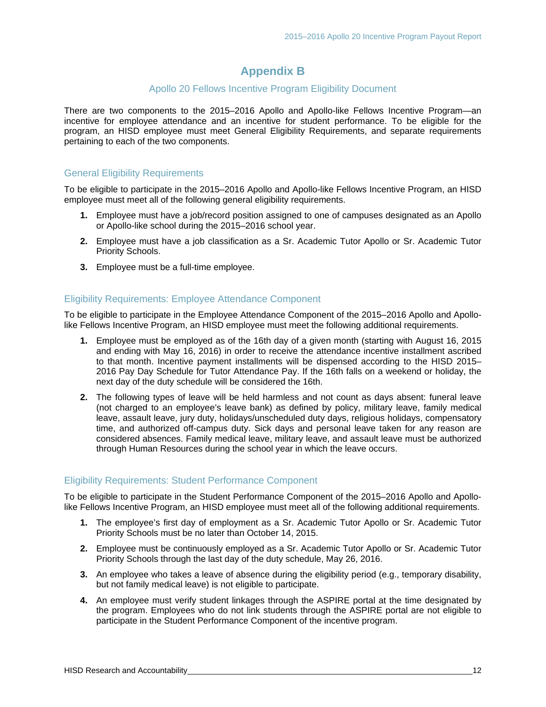### **Appendix B**

#### Apollo 20 Fellows Incentive Program Eligibility Document

There are two components to the 2015–2016 Apollo and Apollo-like Fellows Incentive Program—an incentive for employee attendance and an incentive for student performance. To be eligible for the program, an HISD employee must meet General Eligibility Requirements, and separate requirements pertaining to each of the two components.

#### General Eligibility Requirements

To be eligible to participate in the 2015–2016 Apollo and Apollo-like Fellows Incentive Program, an HISD employee must meet all of the following general eligibility requirements.

- **1.** Employee must have a job/record position assigned to one of campuses designated as an Apollo or Apollo-like school during the 2015–2016 school year.
- **2.** Employee must have a job classification as a Sr. Academic Tutor Apollo or Sr. Academic Tutor Priority Schools.
- **3.** Employee must be a full-time employee.

#### Eligibility Requirements: Employee Attendance Component

To be eligible to participate in the Employee Attendance Component of the 2015–2016 Apollo and Apollolike Fellows Incentive Program, an HISD employee must meet the following additional requirements.

- **1.** Employee must be employed as of the 16th day of a given month (starting with August 16, 2015 and ending with May 16, 2016) in order to receive the attendance incentive installment ascribed to that month. Incentive payment installments will be dispensed according to the HISD 2015– 2016 Pay Day Schedule for Tutor Attendance Pay. If the 16th falls on a weekend or holiday, the next day of the duty schedule will be considered the 16th.
- **2.** The following types of leave will be held harmless and not count as days absent: funeral leave (not charged to an employee's leave bank) as defined by policy, military leave, family medical leave, assault leave, jury duty, holidays/unscheduled duty days, religious holidays, compensatory time, and authorized off-campus duty. Sick days and personal leave taken for any reason are considered absences. Family medical leave, military leave, and assault leave must be authorized through Human Resources during the school year in which the leave occurs.

#### Eligibility Requirements: Student Performance Component

To be eligible to participate in the Student Performance Component of the 2015–2016 Apollo and Apollolike Fellows Incentive Program, an HISD employee must meet all of the following additional requirements.

- **1.** The employee's first day of employment as a Sr. Academic Tutor Apollo or Sr. Academic Tutor Priority Schools must be no later than October 14, 2015.
- **2.** Employee must be continuously employed as a Sr. Academic Tutor Apollo or Sr. Academic Tutor Priority Schools through the last day of the duty schedule, May 26, 2016.
- **3.** An employee who takes a leave of absence during the eligibility period (e.g., temporary disability, but not family medical leave) is not eligible to participate.
- **4.** An employee must verify student linkages through the ASPIRE portal at the time designated by the program. Employees who do not link students through the ASPIRE portal are not eligible to participate in the Student Performance Component of the incentive program.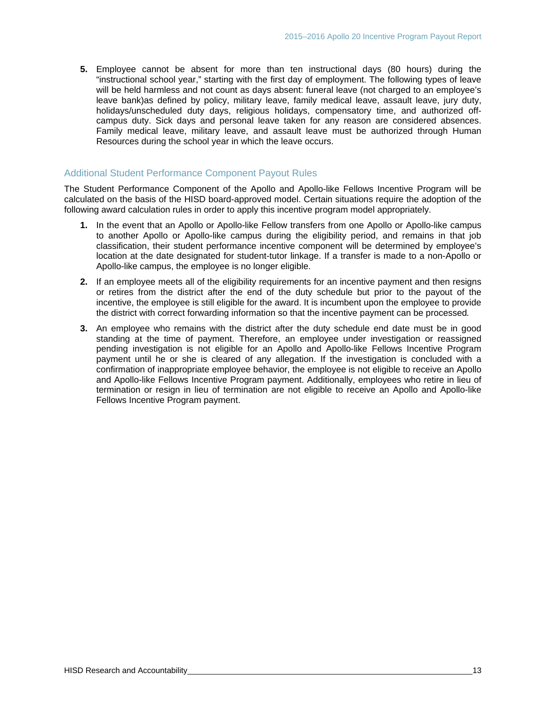**5.** Employee cannot be absent for more than ten instructional days (80 hours) during the "instructional school year," starting with the first day of employment. The following types of leave will be held harmless and not count as days absent: funeral leave (not charged to an employee's leave bank)as defined by policy, military leave, family medical leave, assault leave, jury duty, holidays/unscheduled duty days, religious holidays, compensatory time, and authorized offcampus duty. Sick days and personal leave taken for any reason are considered absences. Family medical leave, military leave, and assault leave must be authorized through Human Resources during the school year in which the leave occurs.

#### Additional Student Performance Component Payout Rules

The Student Performance Component of the Apollo and Apollo-like Fellows Incentive Program will be calculated on the basis of the HISD board-approved model. Certain situations require the adoption of the following award calculation rules in order to apply this incentive program model appropriately.

- **1.** In the event that an Apollo or Apollo-like Fellow transfers from one Apollo or Apollo-like campus to another Apollo or Apollo-like campus during the eligibility period, and remains in that job classification, their student performance incentive component will be determined by employee's location at the date designated for student-tutor linkage. If a transfer is made to a non-Apollo or Apollo-like campus, the employee is no longer eligible.
- **2.** If an employee meets all of the eligibility requirements for an incentive payment and then resigns or retires from the district after the end of the duty schedule but prior to the payout of the incentive, the employee is still eligible for the award. It is incumbent upon the employee to provide the district with correct forwarding information so that the incentive payment can be processed*.*
- **3.** An employee who remains with the district after the duty schedule end date must be in good standing at the time of payment. Therefore, an employee under investigation or reassigned pending investigation is not eligible for an Apollo and Apollo-like Fellows Incentive Program payment until he or she is cleared of any allegation. If the investigation is concluded with a confirmation of inappropriate employee behavior, the employee is not eligible to receive an Apollo and Apollo-like Fellows Incentive Program payment. Additionally, employees who retire in lieu of termination or resign in lieu of termination are not eligible to receive an Apollo and Apollo-like Fellows Incentive Program payment.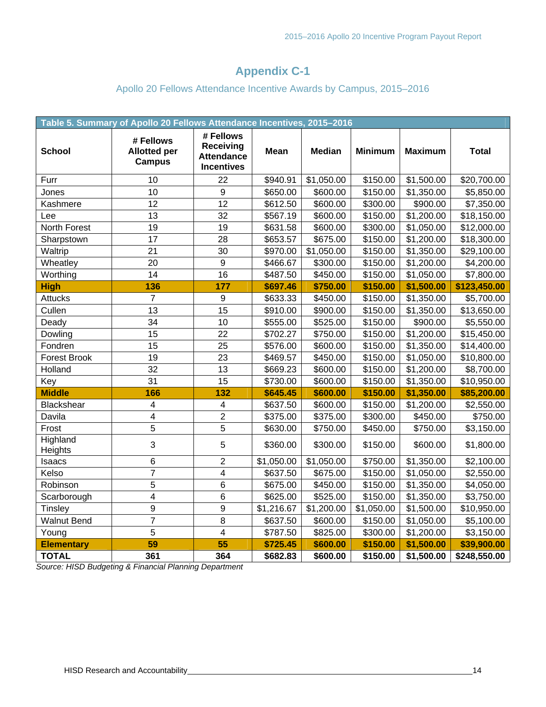### **Appendix C-1**

#### Apollo 20 Fellows Attendance Incentive Awards by Campus, 2015–2016

|                     | Table 5. Summary of Apollo 20 Fellows Attendance Incentives, 2015-2016 |                                                                  |             |               |                |                |                        |  |  |
|---------------------|------------------------------------------------------------------------|------------------------------------------------------------------|-------------|---------------|----------------|----------------|------------------------|--|--|
| <b>School</b>       | # Fellows<br><b>Allotted per</b><br><b>Campus</b>                      | # Fellows<br>Receiving<br><b>Attendance</b><br><b>Incentives</b> | <b>Mean</b> | <b>Median</b> | <b>Minimum</b> | <b>Maximum</b> | <b>Total</b>           |  |  |
| Furr                | 10                                                                     | 22                                                               | \$940.91    | \$1,050.00    | \$150.00       | \$1,500.00     | \$20,700.00            |  |  |
| Jones               | 10                                                                     | 9                                                                | \$650.00    | \$600.00      | \$150.00       | \$1,350.00     | \$5,850.00             |  |  |
| Kashmere            | 12                                                                     | 12                                                               | \$612.50    | \$600.00      | \$300.00       | \$900.00       | \$7,350.00             |  |  |
| Lee                 | 13                                                                     | 32                                                               | \$567.19    | \$600.00      | \$150.00       | \$1,200.00     | \$18,150.00            |  |  |
| North Forest        | 19                                                                     | 19                                                               | \$631.58    | \$600.00      | \$300.00       | \$1,050.00     | \$12,000.00            |  |  |
| Sharpstown          | 17                                                                     | 28                                                               | \$653.57    | \$675.00      | \$150.00       | \$1,200.00     | \$18,300.00            |  |  |
| Waltrip             | 21                                                                     | 30                                                               | \$970.00    | \$1,050.00    | \$150.00       | \$1,350.00     | \$29,100.00            |  |  |
| Wheatley            | 20                                                                     | 9                                                                | \$466.67    | \$300.00      | \$150.00       | \$1,200.00     | \$4,200.00             |  |  |
| Worthing            | 14                                                                     | 16                                                               | \$487.50    | \$450.00      | \$150.00       | \$1,050.00     | \$7,800.00             |  |  |
| <b>High</b>         | 136                                                                    | 177                                                              | \$697.46    | \$750.00      | \$150.00       | \$1,500.00     | \$123,450.00           |  |  |
| <b>Attucks</b>      | $\overline{7}$                                                         | 9                                                                | \$633.33    | \$450.00      | \$150.00       | \$1,350.00     | \$5,700.00             |  |  |
| Cullen              | 13                                                                     | 15                                                               | \$910.00    | \$900.00      | \$150.00       | \$1,350.00     | \$13,650.00            |  |  |
| Deady               | 34                                                                     | 10                                                               | \$555.00    | \$525.00      | \$150.00       | \$900.00       | \$5,550.00             |  |  |
| Dowling             | 15                                                                     | 22                                                               | \$702.27    | \$750.00      | \$150.00       | \$1,200.00     | \$15,450.00            |  |  |
| Fondren             | 15                                                                     | 25                                                               | \$576.00    | \$600.00      | \$150.00       | \$1,350.00     | \$14,400.00            |  |  |
| <b>Forest Brook</b> | 19                                                                     | 23                                                               | \$469.57    | \$450.00      | \$150.00       | \$1,050.00     | \$10,800.00            |  |  |
| Holland             | 32                                                                     | 13                                                               | \$669.23    | \$600.00      | \$150.00       | \$1,200.00     | \$8,700.00             |  |  |
| Key                 | 31                                                                     | 15                                                               | \$730.00    | \$600.00      | \$150.00       | \$1,350.00     | \$10,950.00            |  |  |
| <b>Middle</b>       | 166                                                                    | 132                                                              | \$645.45    | \$600.00      | \$150.00       | \$1,350.00     | \$85,200.00            |  |  |
| Blackshear          | $\overline{\mathbf{4}}$                                                | $\overline{\mathbf{4}}$                                          | \$637.50    | \$600.00      | \$150.00       | \$1,200.00     | \$2,550.00             |  |  |
| Davila              | 4                                                                      | $\overline{2}$                                                   | \$375.00    | \$375.00      | \$300.00       | \$450.00       | \$750.00               |  |  |
| Frost               | 5                                                                      | 5                                                                | \$630.00    | \$750.00      | \$450.00       | \$750.00       | $\overline{$3,150.00}$ |  |  |
| Highland<br>Heights | 3                                                                      | 5                                                                | \$360.00    | \$300.00      | \$150.00       | \$600.00       | \$1,800.00             |  |  |
| Isaacs              | 6                                                                      | $\overline{2}$                                                   | \$1,050.00  | \$1,050.00    | \$750.00       | \$1,350.00     | \$2,100.00             |  |  |
| Kelso               | $\overline{7}$                                                         | $\overline{\mathbf{4}}$                                          | \$637.50    | \$675.00      | \$150.00       | \$1,050.00     | \$2,550.00             |  |  |
| Robinson            | $\overline{5}$                                                         | 6                                                                | \$675.00    | \$450.00      | \$150.00       | \$1,350.00     | \$4,050.00             |  |  |
| Scarborough         | $\overline{4}$                                                         | 6                                                                | \$625.00    | \$525.00      | \$150.00       | \$1,350.00     | \$3,750.00             |  |  |
| Tinsley             | 9                                                                      | 9                                                                | \$1,216.67  | \$1,200.00    | \$1,050.00     | \$1,500.00     | \$10,950.00            |  |  |
| <b>Walnut Bend</b>  | $\overline{7}$                                                         | 8                                                                | \$637.50    | \$600.00      | \$150.00       | \$1,050.00     | \$5,100.00             |  |  |
| Young               | 5                                                                      | $\overline{\mathbf{4}}$                                          | \$787.50    | \$825.00      | \$300.00       | \$1,200.00     | \$3,150.00             |  |  |
| <b>Elementary</b>   | 59                                                                     | 55                                                               | \$725.45    | \$600.00      | \$150.00       | \$1,500.00     | \$39,900.00            |  |  |
| <b>TOTAL</b>        | 361                                                                    | 364                                                              | \$682.83    | \$600.00      | \$150.00       | \$1,500.00     | \$248,550.00           |  |  |

*Source: HISD Budgeting & Financial Planning Department*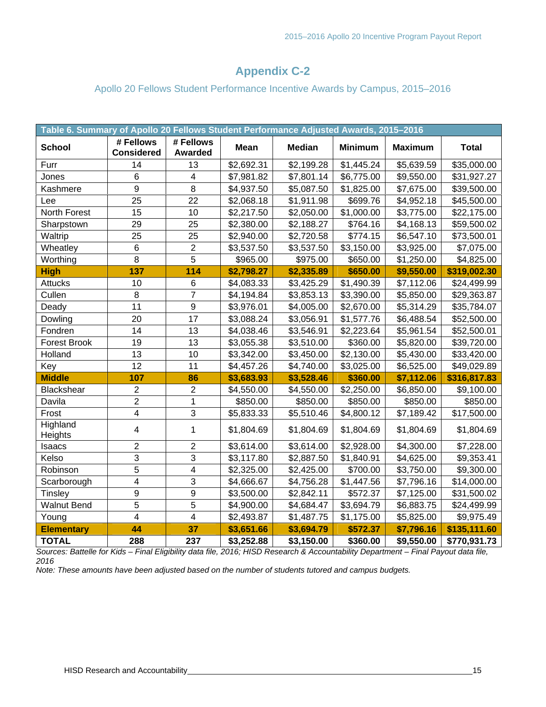### **Appendix C-2**

#### Apollo 20 Fellows Student Performance Incentive Awards by Campus, 2015–2016

|                            | Table 6. Summary of Apollo 20 Fellows Student Performance Adjusted Awards, 2015-2016 |                             |             |               |                |                |              |  |  |  |  |
|----------------------------|--------------------------------------------------------------------------------------|-----------------------------|-------------|---------------|----------------|----------------|--------------|--|--|--|--|
| <b>School</b>              | # Fellows<br><b>Considered</b>                                                       | # Fellows<br><b>Awarded</b> | <b>Mean</b> | <b>Median</b> | <b>Minimum</b> | <b>Maximum</b> | <b>Total</b> |  |  |  |  |
| Furr                       | 14                                                                                   | 13                          | \$2,692.31  | \$2,199.28    | \$1,445.24     | \$5,639.59     | \$35,000.00  |  |  |  |  |
| Jones                      | 6                                                                                    | $\overline{\mathbf{4}}$     | \$7,981.82  | \$7,801.14    | \$6,775.00     | \$9,550.00     | \$31,927.27  |  |  |  |  |
| Kashmere                   | $\boldsymbol{9}$                                                                     | 8                           | \$4,937.50  | \$5,087.50    | \$1,825.00     | \$7,675.00     | \$39,500.00  |  |  |  |  |
| Lee                        | 25                                                                                   | 22                          | \$2,068.18  | \$1,911.98    | \$699.76       | \$4,952.18     | \$45,500.00  |  |  |  |  |
| North Forest               | 15                                                                                   | 10                          | \$2,217.50  | \$2,050.00    | \$1,000.00     | \$3,775.00     | \$22,175.00  |  |  |  |  |
| Sharpstown                 | 29                                                                                   | 25                          | \$2,380.00  | \$2,188.27    | \$764.16       | \$4,168.13     | \$59,500.02  |  |  |  |  |
| Waltrip                    | 25                                                                                   | 25                          | \$2,940.00  | \$2,720.58    | \$774.15       | \$6,547.10     | \$73,500.01  |  |  |  |  |
| Wheatley                   | 6                                                                                    | $\overline{2}$              | \$3,537.50  | \$3,537.50    | \$3,150.00     | \$3,925.00     | \$7,075.00   |  |  |  |  |
| Worthing                   | 8                                                                                    | 5                           | \$965.00    | \$975.00      | \$650.00       | \$1,250.00     | \$4,825.00   |  |  |  |  |
| <b>High</b>                | 137                                                                                  | 114                         | \$2,798.27  | \$2,335.89    | \$650.00       | \$9,550.00     | \$319,002.30 |  |  |  |  |
| Attucks                    | 10                                                                                   | $6\phantom{1}6$             | \$4,083.33  | \$3,425.29    | \$1,490.39     | \$7,112.06     | \$24,499.99  |  |  |  |  |
| Cullen                     | 8                                                                                    | $\overline{7}$              | \$4,194.84  | \$3,853.13    | \$3,390.00     | \$5,850.00     | \$29,363.87  |  |  |  |  |
| Deady                      | 11                                                                                   | $\overline{9}$              | \$3,976.01  | \$4,005.00    | \$2,670.00     | \$5,314.29     | \$35,784.07  |  |  |  |  |
| Dowling                    | 20                                                                                   | 17                          | \$3,088.24  | \$3,056.91    | \$1,577.76     | \$6,488.54     | \$52,500.00  |  |  |  |  |
| Fondren                    | 14                                                                                   | 13                          | \$4,038.46  | \$3,546.91    | \$2,223.64     | \$5,961.54     | \$52,500.01  |  |  |  |  |
| <b>Forest Brook</b>        | 19                                                                                   | 13                          | \$3,055.38  | \$3,510.00    | \$360.00       | \$5,820.00     | \$39,720.00  |  |  |  |  |
| Holland                    | 13                                                                                   | 10                          | \$3,342.00  | \$3,450.00    | \$2,130.00     | \$5,430.00     | \$33,420.00  |  |  |  |  |
| Key                        | 12                                                                                   | 11                          | \$4,457.26  | \$4,740.00    | \$3,025.00     | \$6,525.00     | \$49,029.89  |  |  |  |  |
| <b>Middle</b>              | 107                                                                                  | 86                          | \$3,683.93  | \$3,528.46    | \$360.00       | \$7,112.06     | \$316,817.83 |  |  |  |  |
| Blackshear                 | $\overline{2}$                                                                       | $\overline{2}$              | \$4,550.00  | \$4,550.00    | \$2,250.00     | \$6,850.00     | \$9,100.00   |  |  |  |  |
| Davila                     | $\overline{2}$                                                                       | $\mathbf{1}$                | \$850.00    | \$850.00      | \$850.00       | \$850.00       | \$850.00     |  |  |  |  |
| Frost                      | $\overline{\mathbf{4}}$                                                              | 3                           | \$5,833.33  | \$5,510.46    | \$4,800.12     | \$7,189.42     | \$17,500.00  |  |  |  |  |
| Highland<br><b>Heights</b> | $\overline{\mathbf{4}}$                                                              | $\mathbf{1}$                | \$1,804.69  | \$1,804.69    | \$1,804.69     | \$1,804.69     | \$1,804.69   |  |  |  |  |
| Isaacs                     | $\overline{2}$                                                                       | $\overline{2}$              | \$3,614.00  | \$3,614.00    | \$2,928.00     | \$4,300.00     | \$7,228.00   |  |  |  |  |
| Kelso                      | $\overline{3}$                                                                       | $\overline{3}$              | \$3,117.80  | \$2,887.50    | \$1,840.91     | \$4,625.00     | \$9,353.41   |  |  |  |  |
| Robinson                   | 5                                                                                    | 4                           | \$2,325.00  | \$2,425.00    | \$700.00       | \$3,750.00     | \$9,300.00   |  |  |  |  |
| Scarborough                | $\overline{4}$                                                                       | 3                           | \$4,666.67  | \$4,756.28    | \$1,447.56     | \$7,796.16     | \$14,000.00  |  |  |  |  |
| Tinsley                    | 9                                                                                    | 9                           | \$3,500.00  | \$2,842.11    | \$572.37       | \$7,125.00     | \$31,500.02  |  |  |  |  |
| <b>Walnut Bend</b>         | $\overline{5}$                                                                       | $\overline{5}$              | \$4,900.00  | \$4,684.47    | \$3,694.79     | \$6,883.75     | \$24,499.99  |  |  |  |  |
| Young                      | $\overline{4}$                                                                       | $\overline{4}$              | \$2,493.87  | \$1,487.75    | \$1,175.00     | \$5,825.00     | \$9,975.49   |  |  |  |  |
| <b>Elementary</b>          | 44                                                                                   | 37                          | \$3,651.66  | \$3,694.79    | \$572.37       | \$7,796.16     | \$135,111.60 |  |  |  |  |
| <b>TOTAL</b>               | 288                                                                                  | 237                         | \$3,252.88  | \$3,150.00    | \$360.00       | \$9,550.00     | \$770,931.73 |  |  |  |  |

*Sources: Battelle for Kids – Final Eligibility data file, 2016; HISD Research & Accountability Department – Final Payout data file, 2016*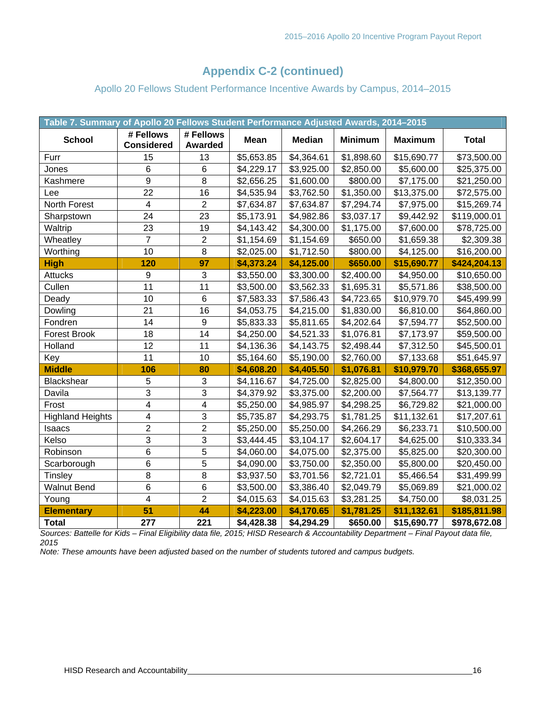#### Apollo 20 Fellows Student Performance Incentive Awards by Campus, 2014–2015

|                         | Table 7. Summary of Apollo 20 Fellows Student Performance Adjusted Awards, 2014-2015 |                             |             |               |                |                |              |  |  |
|-------------------------|--------------------------------------------------------------------------------------|-----------------------------|-------------|---------------|----------------|----------------|--------------|--|--|
| <b>School</b>           | # Fellows<br><b>Considered</b>                                                       | # Fellows<br><b>Awarded</b> | <b>Mean</b> | <b>Median</b> | <b>Minimum</b> | <b>Maximum</b> | <b>Total</b> |  |  |
| Furr                    | 15                                                                                   | 13                          | \$5,653.85  | \$4,364.61    | \$1,898.60     | \$15,690.77    | \$73,500.00  |  |  |
| Jones                   | $6\phantom{1}$                                                                       | $6\phantom{1}$              | \$4,229.17  | \$3,925.00    | \$2,850.00     | \$5,600.00     | \$25,375.00  |  |  |
| Kashmere                | 9                                                                                    | 8                           | \$2,656.25  | \$1,600.00    | \$800.00       | \$7,175.00     | \$21,250.00  |  |  |
| Lee                     | 22                                                                                   | 16                          | \$4,535.94  | \$3,762.50    | \$1,350.00     | \$13,375.00    | \$72,575.00  |  |  |
| North Forest            | $\overline{4}$                                                                       | $\overline{2}$              | \$7,634.87  | \$7,634.87    | \$7,294.74     | \$7,975.00     | \$15,269.74  |  |  |
| Sharpstown              | 24                                                                                   | 23                          | \$5,173.91  | \$4,982.86    | \$3,037.17     | \$9,442.92     | \$119,000.01 |  |  |
| Waltrip                 | 23                                                                                   | 19                          | \$4,143.42  | \$4,300.00    | \$1,175.00     | \$7,600.00     | \$78,725.00  |  |  |
| Wheatley                | $\overline{7}$                                                                       | $\overline{2}$              | \$1,154.69  | \$1,154.69    | \$650.00       | \$1,659.38     | \$2,309.38   |  |  |
| Worthing                | 10                                                                                   | 8                           | \$2,025.00  | \$1,712.50    | \$800.00       | \$4,125.00     | \$16,200.00  |  |  |
| <b>High</b>             | 120                                                                                  | 97                          | \$4,373.24  | \$4,125.00    | \$650.00       | \$15,690.77    | \$424,204.13 |  |  |
| <b>Attucks</b>          | 9                                                                                    | $\mathbf{3}$                | \$3,550.00  | \$3,300.00    | \$2,400.00     | \$4,950.00     | \$10,650.00  |  |  |
| Cullen                  | 11                                                                                   | 11                          | \$3,500.00  | \$3,562.33    | \$1,695.31     | \$5,571.86     | \$38,500.00  |  |  |
| Deady                   | 10                                                                                   | $6\phantom{1}$              | \$7,583.33  | \$7,586.43    | \$4,723.65     | \$10,979.70    | \$45,499.99  |  |  |
| Dowling                 | 21                                                                                   | 16                          | \$4,053.75  | \$4,215.00    | \$1,830.00     | \$6,810.00     | \$64,860.00  |  |  |
| Fondren                 | 14                                                                                   | 9                           | \$5,833.33  | \$5,811.65    | \$4,202.64     | \$7,594.77     | \$52,500.00  |  |  |
| <b>Forest Brook</b>     | 18                                                                                   | 14                          | \$4,250.00  | \$4,521.33    | \$1,076.81     | \$7,173.97     | \$59,500.00  |  |  |
| Holland                 | 12                                                                                   | 11                          | \$4,136.36  | \$4,143.75    | \$2,498.44     | \$7,312.50     | \$45,500.01  |  |  |
| Key                     | 11                                                                                   | 10                          | \$5,164.60  | \$5,190.00    | \$2,760.00     | \$7,133.68     | \$51,645.97  |  |  |
| <b>Middle</b>           | 106                                                                                  | 80                          | \$4,608.20  | \$4,405.50    | \$1,076.81     | \$10,979.70    | \$368,655.97 |  |  |
| Blackshear              | 5                                                                                    | 3                           | \$4,116.67  | \$4,725.00    | \$2,825.00     | \$4,800.00     | \$12,350.00  |  |  |
| Davila                  | 3                                                                                    | 3                           | \$4,379.92  | \$3,375.00    | \$2,200.00     | \$7,564.77     | \$13,139.77  |  |  |
| Frost                   | 4                                                                                    | $\overline{\mathbf{4}}$     | \$5,250.00  | \$4,985.97    | \$4,298.25     | \$6,729.82     | \$21,000.00  |  |  |
| <b>Highland Heights</b> | 4                                                                                    | 3                           | \$5,735.87  | \$4,293.75    | \$1,781.25     | \$11,132.61    | \$17,207.61  |  |  |
| Isaacs                  | $\overline{c}$                                                                       | $\overline{2}$              | \$5,250.00  | \$5,250.00    | \$4,266.29     | \$6,233.71     | \$10,500.00  |  |  |
| Kelso                   | 3                                                                                    | 3                           | \$3,444.45  | \$3,104.17    | \$2,604.17     | \$4,625.00     | \$10,333.34  |  |  |
| Robinson                | 6                                                                                    | $\overline{5}$              | \$4,060.00  | \$4,075.00    | \$2,375.00     | \$5,825.00     | \$20,300.00  |  |  |
| Scarborough             | 6                                                                                    | 5                           | \$4,090.00  | \$3,750.00    | \$2,350.00     | \$5,800.00     | \$20,450.00  |  |  |
| <b>Tinsley</b>          | 8                                                                                    | 8                           | \$3,937.50  | \$3,701.56    | \$2,721.01     | \$5,466.54     | \$31,499.99  |  |  |
| <b>Walnut Bend</b>      | 6                                                                                    | $6\phantom{1}$              | \$3,500.00  | \$3,386.40    | \$2,049.79     | \$5,069.89     | \$21,000.02  |  |  |
| Young                   | 4                                                                                    | $\overline{2}$              | \$4,015.63  | \$4,015.63    | \$3,281.25     | \$4,750.00     | \$8,031.25   |  |  |
| <b>Elementary</b>       | 51                                                                                   | 44                          | \$4,223.00  | \$4,170.65    | \$1,781.25     | \$11,132.61    | \$185,811.98 |  |  |
| <b>Total</b>            | 277                                                                                  | 221                         | \$4,428.38  | \$4,294.29    | \$650.00       | \$15,690.77    | \$978,672.08 |  |  |

*Sources: Battelle for Kids – Final Eligibility data file, 2015; HISD Research & Accountability Department – Final Payout data file, 2015*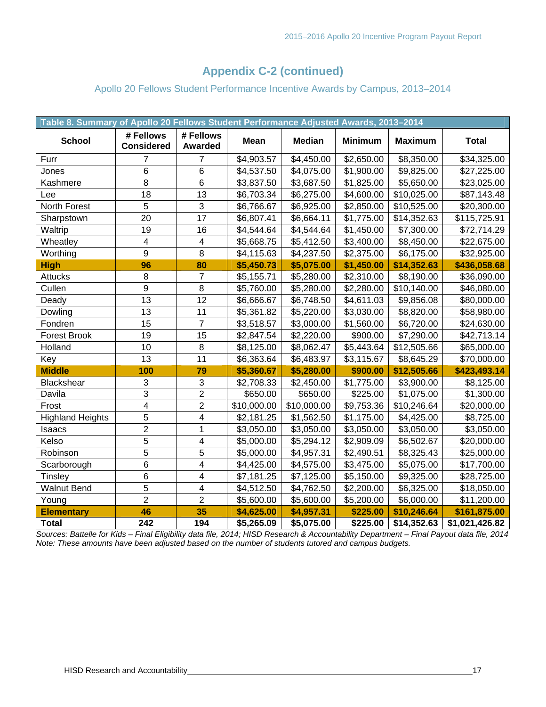#### Apollo 20 Fellows Student Performance Incentive Awards by Campus, 2013–2014

|                         | Table 8. Summary of Apollo 20 Fellows Student Performance Adjusted Awards, 2013-2014 |                         |             |               |                |                |                |  |  |  |
|-------------------------|--------------------------------------------------------------------------------------|-------------------------|-------------|---------------|----------------|----------------|----------------|--|--|--|
| <b>School</b>           | # Fellows<br><b>Considered</b>                                                       | # Fellows<br>Awarded    | <b>Mean</b> | <b>Median</b> | <b>Minimum</b> | <b>Maximum</b> | <b>Total</b>   |  |  |  |
| Furr                    | 7                                                                                    | $\overline{7}$          | \$4,903.57  | \$4,450.00    | \$2,650.00     | \$8,350.00     | \$34,325.00    |  |  |  |
| Jones                   | 6                                                                                    | 6                       | \$4,537.50  | \$4,075.00    | \$1,900.00     | \$9,825.00     | \$27,225.00    |  |  |  |
| Kashmere                | 8                                                                                    | 6                       | \$3,837.50  | \$3,687.50    | \$1,825.00     | \$5,650.00     | \$23,025.00    |  |  |  |
| Lee                     | 18                                                                                   | 13                      | \$6,703.34  | \$6,275.00    | \$4,600.00     | \$10,025.00    | \$87,143.48    |  |  |  |
| North Forest            | 5                                                                                    | 3                       | \$6,766.67  | \$6,925.00    | \$2,850.00     | \$10,525.00    | \$20,300.00    |  |  |  |
| Sharpstown              | 20                                                                                   | 17                      | \$6,807.41  | \$6,664.11    | \$1,775.00     | \$14,352.63    | \$115,725.91   |  |  |  |
| Waltrip                 | 19                                                                                   | 16                      | \$4,544.64  | \$4,544.64    | \$1,450.00     | \$7,300.00     | \$72,714.29    |  |  |  |
| Wheatley                | 4                                                                                    | $\overline{\mathbf{4}}$ | \$5,668.75  | \$5,412.50    | \$3,400.00     | \$8,450.00     | \$22,675.00    |  |  |  |
| Worthing                | 9                                                                                    | 8                       | \$4,115.63  | \$4,237.50    | \$2,375.00     | \$6,175.00     | \$32,925.00    |  |  |  |
| <b>High</b>             | 96                                                                                   | 80                      | \$5,450.73  | \$5,075.00    | \$1,450.00     | \$14,352.63    | \$436,058.68   |  |  |  |
| <b>Attucks</b>          | 8                                                                                    | $\overline{7}$          | \$5,155.71  | \$5,280.00    | \$2,310.00     | \$8,190.00     | \$36,090.00    |  |  |  |
| Cullen                  | 9                                                                                    | 8                       | \$5,760.00  | \$5,280.00    | \$2,280.00     | \$10,140.00    | \$46,080.00    |  |  |  |
| Deady                   | 13                                                                                   | 12                      | \$6,666.67  | \$6,748.50    | \$4,611.03     | \$9,856.08     | \$80,000.00    |  |  |  |
| Dowling                 | 13                                                                                   | 11                      | \$5,361.82  | \$5,220.00    | \$3,030.00     | \$8,820.00     | \$58,980.00    |  |  |  |
| Fondren                 | 15                                                                                   | $\overline{7}$          | \$3,518.57  | \$3,000.00    | \$1,560.00     | \$6,720.00     | \$24,630.00    |  |  |  |
| <b>Forest Brook</b>     | 19                                                                                   | 15                      | \$2,847.54  | \$2,220.00    | \$900.00       | \$7,290.00     | \$42,713.14    |  |  |  |
| Holland                 | 10                                                                                   | 8                       | \$8,125.00  | \$8,062.47    | \$5,443.64     | \$12,505.66    | \$65,000.00    |  |  |  |
| Key                     | 13                                                                                   | 11                      | \$6,363.64  | \$6,483.97    | \$3,115.67     | \$8,645.29     | \$70,000.00    |  |  |  |
| <b>Middle</b>           | 100                                                                                  | 79                      | \$5,360.67  | \$5,280.00    | \$900.00       | \$12,505.66    | \$423,493.14   |  |  |  |
| <b>Blackshear</b>       | 3                                                                                    | 3                       | \$2,708.33  | \$2,450.00    | \$1,775.00     | \$3,900.00     | \$8,125.00     |  |  |  |
| Davila                  | 3                                                                                    | $\overline{2}$          | \$650.00    | \$650.00      | \$225.00       | \$1,075.00     | \$1,300.00     |  |  |  |
| Frost                   | 4                                                                                    | $\overline{2}$          | \$10,000.00 | \$10,000.00   | \$9,753.36     | \$10,246.64    | \$20,000.00    |  |  |  |
| <b>Highland Heights</b> | 5                                                                                    | $\overline{\mathbf{4}}$ | \$2,181.25  | \$1,562.50    | \$1,175.00     | \$4,425.00     | \$8,725.00     |  |  |  |
| Isaacs                  | $\overline{2}$                                                                       | $\overline{1}$          | \$3,050.00  | \$3,050.00    | \$3,050.00     | \$3,050.00     | \$3,050.00     |  |  |  |
| Kelso                   | $\overline{5}$                                                                       | $\overline{4}$          | \$5,000.00  | \$5,294.12    | \$2,909.09     | \$6,502.67     | \$20,000.00    |  |  |  |
| Robinson                | $\overline{5}$                                                                       | 5                       | \$5,000.00  | \$4,957.31    | \$2,490.51     | \$8,325.43     | \$25,000.00    |  |  |  |
| Scarborough             | 6                                                                                    | $\overline{\mathbf{4}}$ | \$4,425.00  | \$4,575.00    | \$3,475.00     | \$5,075.00     | \$17,700.00    |  |  |  |
| Tinsley                 | 6                                                                                    | $\overline{\mathbf{4}}$ | \$7,181.25  | \$7,125.00    | \$5,150.00     | \$9,325.00     | \$28,725.00    |  |  |  |
| <b>Walnut Bend</b>      | $\overline{5}$                                                                       | $\overline{\mathbf{4}}$ | \$4,512.50  | \$4,762.50    | \$2,200.00     | \$6,325.00     | \$18,050.00    |  |  |  |
| Young                   | $\overline{2}$                                                                       | $\overline{2}$          | \$5,600.00  | \$5,600.00    | \$5,200.00     | \$6,000.00     | \$11,200.00    |  |  |  |
| <b>Elementary</b>       | 46                                                                                   | 35                      | \$4,625.00  | \$4,957.31    | \$225.00       | \$10,246.64    | \$161,875.00   |  |  |  |
| <b>Total</b>            | 242                                                                                  | 194                     | \$5,265.09  | \$5,075.00    | \$225.00       | \$14,352.63    | \$1,021,426.82 |  |  |  |

*Sources: Battelle for Kids – Final Eligibility data file, 2014; HISD Research & Accountability Department – Final Payout data file, 2014 Note: These amounts have been adjusted based on the number of students tutored and campus budgets.*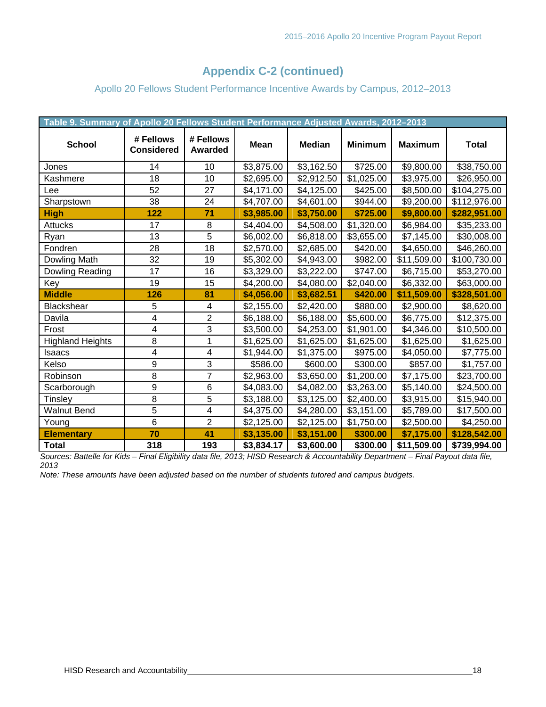#### Apollo 20 Fellows Student Performance Incentive Awards by Campus, 2012–2013

|                         | Table 9. Summary of Apollo 20 Fellows Student Performance Adjusted Awards, 2012-2013 |                             |             |               |                |                |              |  |  |
|-------------------------|--------------------------------------------------------------------------------------|-----------------------------|-------------|---------------|----------------|----------------|--------------|--|--|
| <b>School</b>           | # Fellows<br><b>Considered</b>                                                       | # Fellows<br><b>Awarded</b> | <b>Mean</b> | <b>Median</b> | <b>Minimum</b> | <b>Maximum</b> | <b>Total</b> |  |  |
| Jones                   | 14                                                                                   | 10                          | \$3,875.00  | \$3,162.50    | \$725.00       | \$9,800.00     | \$38,750.00  |  |  |
| Kashmere                | 18                                                                                   | 10                          | \$2,695.00  | \$2,912.50    | \$1,025.00     | \$3,975.00     | \$26,950.00  |  |  |
| Lee                     | 52                                                                                   | 27                          | \$4,171.00  | \$4,125.00    | \$425.00       | \$8,500.00     | \$104,275.00 |  |  |
| Sharpstown              | 38                                                                                   | 24                          | \$4,707.00  | \$4,601.00    | \$944.00       | \$9,200.00     | \$112,976.00 |  |  |
| <b>High</b>             | 122                                                                                  | 71                          | \$3,985.00  | \$3,750.00    | \$725.00       | \$9,800.00     | \$282,951.00 |  |  |
| <b>Attucks</b>          | 17                                                                                   | 8                           | \$4,404.00  | \$4,508.00    | \$1,320.00     | \$6,984.00     | \$35,233.00  |  |  |
| Ryan                    | 13                                                                                   | 5                           | \$6,002.00  | \$6,818.00    | \$3,655.00     | \$7,145.00     | \$30,008.00  |  |  |
| Fondren                 | 28                                                                                   | 18                          | \$2,570.00  | \$2,685.00    | \$420.00       | \$4,650.00     | \$46,260.00  |  |  |
| Dowling Math            | 32                                                                                   | 19                          | \$5,302.00  | \$4,943.00    | \$982.00       | \$11,509.00    | \$100,730.00 |  |  |
| Dowling Reading         | 17                                                                                   | 16                          | \$3,329.00  | \$3,222.00    | \$747.00       | \$6,715.00     | \$53,270.00  |  |  |
| Key                     | 19                                                                                   | 15                          | \$4,200.00  | \$4,080.00    | \$2,040.00     | \$6,332.00     | \$63,000.00  |  |  |
| <b>Middle</b>           | 126                                                                                  | 81                          | \$4,056.00  | \$3,682.51    | \$420.00       | \$11,509.00    | \$328,501.00 |  |  |
| <b>Blackshear</b>       | 5                                                                                    | 4                           | \$2,155.00  | \$2,420.00    | \$880.00       | \$2,900.00     | \$8,620.00   |  |  |
| Davila                  | 4                                                                                    | $\overline{2}$              | \$6,188.00  | \$6,188.00    | \$5,600.00     | \$6,775.00     | \$12,375.00  |  |  |
| Frost                   | 4                                                                                    | 3                           | \$3,500.00  | \$4,253.00    | \$1,901.00     | \$4,346.00     | \$10,500.00  |  |  |
| <b>Highland Heights</b> | 8                                                                                    | 1                           | \$1,625.00  | \$1,625.00    | \$1,625.00     | \$1,625.00     | \$1,625.00   |  |  |
| Isaacs                  | 4                                                                                    | 4                           | \$1,944.00  | \$1,375.00    | \$975.00       | \$4,050.00     | \$7,775.00   |  |  |
| Kelso                   | 9                                                                                    | 3                           | \$586.00    | \$600.00      | \$300.00       | \$857.00       | \$1,757.00   |  |  |
| Robinson                | 8                                                                                    | $\overline{7}$              | \$2,963.00  | \$3,650.00    | \$1,200.00     | \$7,175.00     | \$23,700.00  |  |  |
| Scarborough             | 9                                                                                    | 6                           | \$4,083.00  | \$4,082.00    | \$3,263.00     | \$5,140.00     | \$24,500.00  |  |  |
| <b>Tinsley</b>          | 8                                                                                    | 5                           | \$3,188.00  | \$3,125.00    | \$2,400.00     | \$3,915.00     | \$15,940.00  |  |  |
| <b>Walnut Bend</b>      | 5                                                                                    | 4                           | \$4,375.00  | \$4,280.00    | \$3,151.00     | \$5,789.00     | \$17,500.00  |  |  |
| Young                   | 6                                                                                    | $\overline{2}$              | \$2,125.00  | \$2,125.00    | \$1,750.00     | \$2,500.00     | \$4,250.00   |  |  |
| <b>Elementary</b>       | 70                                                                                   | 41                          | \$3,135.00  | \$3,151.00    | \$300.00       | \$7,175.00     | \$128,542.00 |  |  |
| <b>Total</b>            | 318                                                                                  | 193                         | \$3,834.17  | \$3,600.00    | \$300.00       | \$11,509.00    | \$739,994.00 |  |  |

*Sources: Battelle for Kids – Final Eligibility data file, 2013; HISD Research & Accountability Department – Final Payout data file, 2013*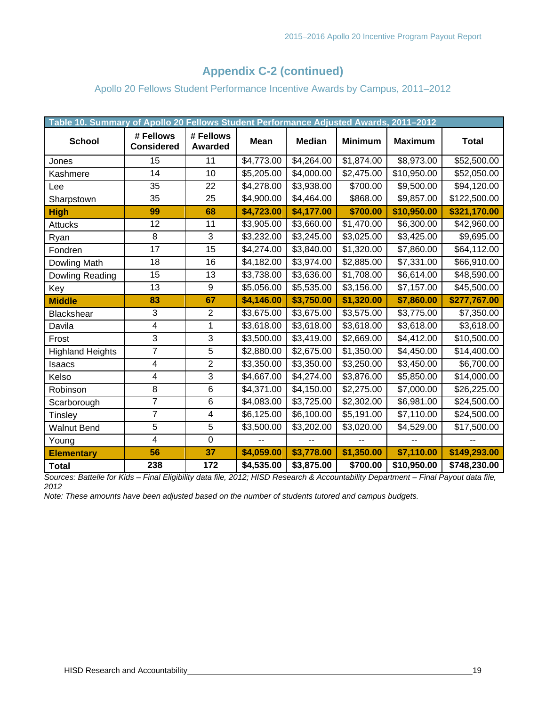#### Apollo 20 Fellows Student Performance Incentive Awards by Campus, 2011–2012

|                         | Table 10. Summary of Apollo 20 Fellows Student Performance Adjusted Awards, 2011-2012 |                             |             |                |                |                |              |  |  |  |
|-------------------------|---------------------------------------------------------------------------------------|-----------------------------|-------------|----------------|----------------|----------------|--------------|--|--|--|
| <b>School</b>           | # Fellows<br><b>Considered</b>                                                        | # Fellows<br><b>Awarded</b> | <b>Mean</b> | <b>Median</b>  | <b>Minimum</b> | <b>Maximum</b> | <b>Total</b> |  |  |  |
| Jones                   | 15                                                                                    | 11                          | \$4,773.00  | \$4,264.00     | \$1,874.00     | \$8,973.00     | \$52,500.00  |  |  |  |
| Kashmere                | 14                                                                                    | 10                          | \$5,205.00  | \$4,000.00     | \$2,475.00     | \$10,950.00    | \$52,050.00  |  |  |  |
| Lee                     | 35                                                                                    | 22                          | \$4,278.00  | \$3,938.00     | \$700.00       | \$9,500.00     | \$94,120.00  |  |  |  |
| Sharpstown              | 35                                                                                    | 25                          | \$4,900.00  | \$4,464.00     | \$868.00       | \$9,857.00     | \$122,500.00 |  |  |  |
| <b>High</b>             | 99                                                                                    | 68                          | \$4,723.00  | \$4,177.00     | \$700.00       | \$10,950.00    | \$321,170.00 |  |  |  |
| <b>Attucks</b>          | 12                                                                                    | 11                          | \$3,905.00  | \$3,660.00     | \$1,470.00     | \$6,300.00     | \$42,960.00  |  |  |  |
| Ryan                    | 8                                                                                     | 3                           | \$3,232.00  | \$3,245.00     | \$3,025.00     | \$3,425.00     | \$9,695.00   |  |  |  |
| Fondren                 | $\overline{17}$                                                                       | $\overline{15}$             | \$4,274.00  | \$3,840.00     | \$1,320.00     | \$7,860.00     | \$64,112.00  |  |  |  |
| Dowling Math            | 18                                                                                    | 16                          | \$4,182.00  | \$3,974.00     | \$2,885.00     | \$7,331.00     | \$66,910.00  |  |  |  |
| Dowling Reading         | 15                                                                                    | 13                          | \$3,738.00  | \$3,636.00     | \$1,708.00     | \$6,614.00     | \$48,590.00  |  |  |  |
| Key                     | 13                                                                                    | 9                           | \$5,056.00  | \$5,535.00     | \$3,156.00     | \$7,157.00     | \$45,500.00  |  |  |  |
| <b>Middle</b>           | 83                                                                                    | 67                          | \$4,146.00  | \$3,750.00     | \$1,320.00     | \$7,860.00     | \$277,767.00 |  |  |  |
| Blackshear              | 3                                                                                     | $\overline{2}$              | \$3,675.00  | \$3,675.00     | \$3,575.00     | \$3,775.00     | \$7,350.00   |  |  |  |
| Davila                  | 4                                                                                     | 1                           | \$3,618.00  | \$3,618.00     | \$3,618.00     | \$3,618.00     | \$3,618.00   |  |  |  |
| Frost                   | 3                                                                                     | 3                           | \$3,500.00  | \$3,419.00     | \$2,669.00     | \$4,412.00     | \$10,500.00  |  |  |  |
| <b>Highland Heights</b> | 7                                                                                     | 5                           | \$2,880.00  | \$2,675.00     | \$1,350.00     | \$4,450.00     | \$14,400.00  |  |  |  |
| <b>Isaacs</b>           | 4                                                                                     | $\overline{2}$              | \$3,350.00  | \$3,350.00     | \$3,250.00     | \$3,450.00     | \$6,700.00   |  |  |  |
| Kelso                   | 4                                                                                     | 3                           | \$4,667.00  | \$4,274.00     | \$3,876.00     | \$5,850.00     | \$14,000.00  |  |  |  |
| Robinson                | 8                                                                                     | 6                           | \$4,371.00  | \$4,150.00     | \$2,275.00     | \$7,000.00     | \$26,225.00  |  |  |  |
| Scarborough             | $\overline{7}$                                                                        | 6                           | \$4,083.00  | \$3,725.00     | \$2,302.00     | \$6,981.00     | \$24,500.00  |  |  |  |
| <b>Tinsley</b>          | $\overline{7}$                                                                        | 4                           | \$6,125.00  | \$6,100.00     | \$5,191.00     | \$7,110.00     | \$24,500.00  |  |  |  |
| <b>Walnut Bend</b>      | 5                                                                                     | 5                           | \$3,500.00  | \$3,202.00     | \$3,020.00     | \$4,529.00     | \$17,500.00  |  |  |  |
|                         |                                                                                       |                             |             |                |                |                |              |  |  |  |
| Young                   | 4                                                                                     | $\overline{0}$              | $-1$        | $\overline{a}$ |                |                |              |  |  |  |
| <b>Elementary</b>       | 56                                                                                    | 37                          | \$4,059.00  | \$3,778.00     | \$1,350.00     | \$7,110.00     | \$149,293.00 |  |  |  |

*Sources: Battelle for Kids – Final Eligibility data file, 2012; HISD Research & Accountability Department – Final Payout data file, 2012*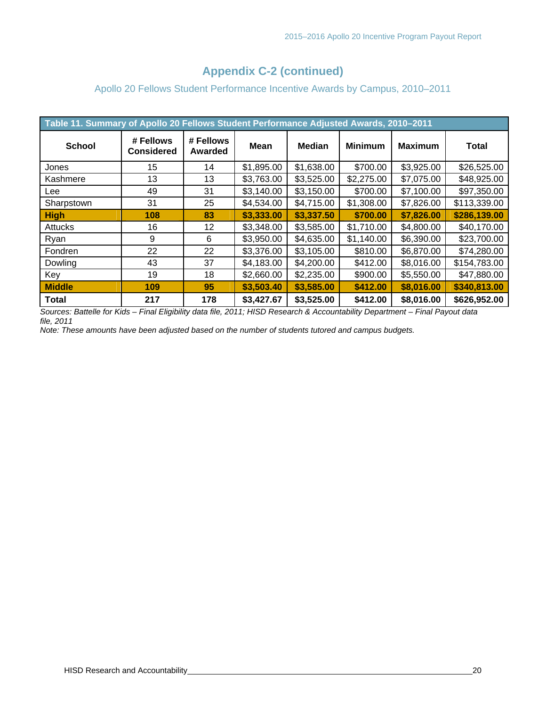#### Apollo 20 Fellows Student Performance Incentive Awards by Campus, 2010–2011

| Table 11. Summary of Apollo 20 Fellows Student Performance Adjusted Awards, 2010-2011 |                                |                      |             |               |                |                |              |  |  |
|---------------------------------------------------------------------------------------|--------------------------------|----------------------|-------------|---------------|----------------|----------------|--------------|--|--|
| <b>School</b>                                                                         | # Fellows<br><b>Considered</b> | # Fellows<br>Awarded | <b>Mean</b> | <b>Median</b> | <b>Minimum</b> | <b>Maximum</b> | Total        |  |  |
| Jones                                                                                 | 15                             | 14                   | \$1,895.00  | \$1,638.00    | \$700.00       | \$3,925.00     | \$26,525.00  |  |  |
| Kashmere                                                                              | 13                             | 13                   | \$3,763.00  | \$3,525.00    | \$2,275.00     | \$7,075.00     | \$48,925.00  |  |  |
| Lee                                                                                   | 49                             | 31                   | \$3,140.00  | \$3,150.00    | \$700.00       | \$7,100.00     | \$97,350.00  |  |  |
| Sharpstown                                                                            | 31                             | 25                   | \$4,534.00  | \$4,715.00    | \$1,308.00     | \$7,826.00     | \$113,339.00 |  |  |
| <b>High</b>                                                                           | 108                            | 83                   | \$3,333.00  | \$3,337.50    | \$700.00       | \$7,826.00     | \$286,139.00 |  |  |
| <b>Attucks</b>                                                                        | 16                             | 12                   | \$3,348.00  | \$3,585.00    | \$1,710.00     | \$4,800.00     | \$40,170.00  |  |  |
| Ryan                                                                                  | 9                              | 6                    | \$3,950.00  | \$4,635.00    | \$1,140.00     | \$6,390.00     | \$23,700.00  |  |  |
| Fondren                                                                               | 22                             | 22                   | \$3,376.00  | \$3,105.00    | \$810.00       | \$6,870.00     | \$74,280.00  |  |  |
| Dowling                                                                               | 43                             | 37                   | \$4,183.00  | \$4,200.00    | \$412.00       | \$8,016.00     | \$154,783.00 |  |  |
| Key                                                                                   | 19                             | 18                   | \$2,660.00  | \$2,235.00    | \$900.00       | \$5,550.00     | \$47,880.00  |  |  |
| <b>Middle</b>                                                                         | 109                            | 95                   | \$3,503.40  | \$3,585.00    | \$412.00       | \$8,016.00     | \$340,813.00 |  |  |
| <b>Total</b>                                                                          | 217                            | 178                  | \$3,427.67  | \$3,525.00    | \$412.00       | \$8,016.00     | \$626,952.00 |  |  |

*Sources: Battelle for Kids – Final Eligibility data file, 2011; HISD Research & Accountability Department – Final Payout data file, 2011*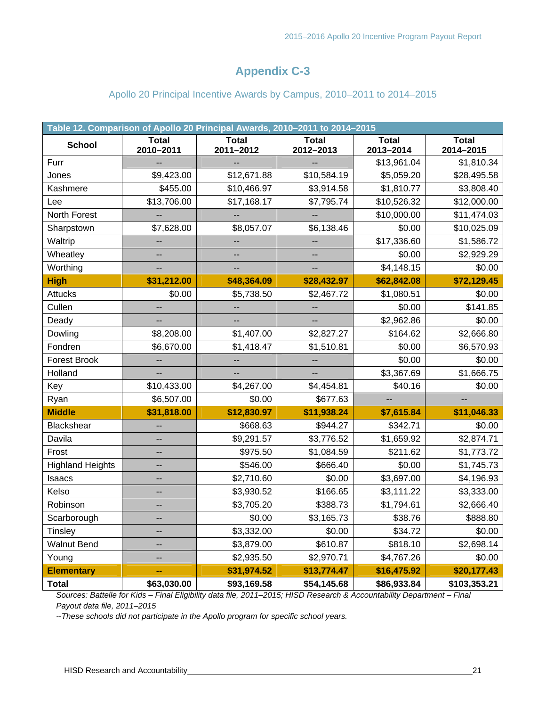### **Appendix C-3**

#### Apollo 20 Principal Incentive Awards by Campus, 2010–2011 to 2014–2015

| Table 12. Comparison of Apollo 20 Principal Awards, 2010-2011 to 2014-2015 |              |              |              |              |              |  |  |  |  |  |
|----------------------------------------------------------------------------|--------------|--------------|--------------|--------------|--------------|--|--|--|--|--|
| <b>School</b>                                                              | <b>Total</b> | <b>Total</b> | <b>Total</b> | <b>Total</b> | <b>Total</b> |  |  |  |  |  |
|                                                                            | 2010-2011    | 2011-2012    | 2012-2013    | 2013-2014    | 2014-2015    |  |  |  |  |  |
| Furr                                                                       |              |              |              | \$13,961.04  | \$1,810.34   |  |  |  |  |  |
| Jones                                                                      | \$9,423.00   | \$12,671.88  | \$10,584.19  | \$5,059.20   | \$28,495.58  |  |  |  |  |  |
| Kashmere                                                                   | \$455.00     | \$10,466.97  | \$3,914.58   | \$1,810.77   | \$3,808.40   |  |  |  |  |  |
| Lee                                                                        | \$13,706.00  | \$17,168.17  | \$7,795.74   | \$10,526.32  | \$12,000.00  |  |  |  |  |  |
| North Forest                                                               |              |              |              | \$10,000.00  | \$11,474.03  |  |  |  |  |  |
| Sharpstown                                                                 | \$7,628.00   | \$8,057.07   | \$6,138.46   | \$0.00       | \$10,025.09  |  |  |  |  |  |
| Waltrip                                                                    | --           | --           | --           | \$17,336.60  | \$1,586.72   |  |  |  |  |  |
| Wheatley                                                                   | ۰.           | --           | --           | \$0.00       | \$2,929.29   |  |  |  |  |  |
| Worthing                                                                   |              |              |              | \$4,148.15   | \$0.00       |  |  |  |  |  |
| <b>High</b>                                                                | \$31,212.00  | \$48,364.09  | \$28,432.97  | \$62,842.08  | \$72,129.45  |  |  |  |  |  |
| <b>Attucks</b>                                                             | \$0.00       | \$5,738.50   | \$2,467.72   | \$1,080.51   | \$0.00       |  |  |  |  |  |
| Cullen                                                                     | --           | --           | --           | \$0.00       | \$141.85     |  |  |  |  |  |
| Deady                                                                      | ц.           | --           | Щ,           | \$2,962.86   | \$0.00       |  |  |  |  |  |
| Dowling                                                                    | \$8,208.00   | \$1,407.00   | \$2,827.27   | \$164.62     | \$2,666.80   |  |  |  |  |  |
| Fondren                                                                    | \$6,670.00   | \$1,418.47   | \$1,510.81   | \$0.00       | \$6,570.93   |  |  |  |  |  |
| <b>Forest Brook</b>                                                        |              | --           |              | \$0.00       | \$0.00       |  |  |  |  |  |
| Holland                                                                    |              |              |              | \$3,367.69   | \$1,666.75   |  |  |  |  |  |
| Key                                                                        | \$10,433.00  | \$4,267.00   | \$4,454.81   | \$40.16      | \$0.00       |  |  |  |  |  |
| Ryan                                                                       | \$6,507.00   | \$0.00       | \$677.63     |              | --           |  |  |  |  |  |
| <b>Middle</b>                                                              | \$31,818.00  | \$12,830.97  | \$11,938.24  | \$7,615.84   | \$11,046.33  |  |  |  |  |  |
| Blackshear                                                                 |              | \$668.63     | \$944.27     | \$342.71     | \$0.00       |  |  |  |  |  |
| Davila                                                                     | --           | \$9,291.57   | \$3,776.52   | \$1,659.92   | \$2,874.71   |  |  |  |  |  |
| Frost                                                                      | --           | \$975.50     | \$1,084.59   | \$211.62     | \$1,773.72   |  |  |  |  |  |
| <b>Highland Heights</b>                                                    | --           | \$546.00     | \$666.40     | \$0.00       | \$1,745.73   |  |  |  |  |  |
| Isaacs                                                                     | --           | \$2,710.60   | \$0.00       | \$3,697.00   | \$4,196.93   |  |  |  |  |  |
| Kelso                                                                      | --           | \$3,930.52   | \$166.65     | \$3,111.22   | \$3,333.00   |  |  |  |  |  |
| Robinson                                                                   |              | \$3,705.20   | \$388.73     | \$1,794.61   | \$2,666.40   |  |  |  |  |  |
| Scarborough                                                                |              | \$0.00       | \$3,165.73   | \$38.76      | \$888.80     |  |  |  |  |  |
| <b>Tinsley</b>                                                             | --           | \$3,332.00   | \$0.00       | \$34.72      | \$0.00       |  |  |  |  |  |
| <b>Walnut Bend</b>                                                         |              | \$3,879.00   | \$610.87     | \$818.10     | \$2,698.14   |  |  |  |  |  |
| Young                                                                      | --           | \$2,935.50   | \$2,970.71   | \$4,767.26   | \$0.00       |  |  |  |  |  |
| <b>Elementary</b>                                                          | --           | \$31,974.52  | \$13,774.47  | \$16,475.92  | \$20,177.43  |  |  |  |  |  |
| <b>Total</b>                                                               | \$63,030.00  | \$93,169.58  | \$54,145.68  | \$86,933.84  | \$103,353.21 |  |  |  |  |  |

*Sources: Battelle for Kids – Final Eligibility data file, 2011–2015; HISD Research & Accountability Department – Final Payout data file, 2011–2015* 

*--These schools did not participate in the Apollo program for specific school years.*